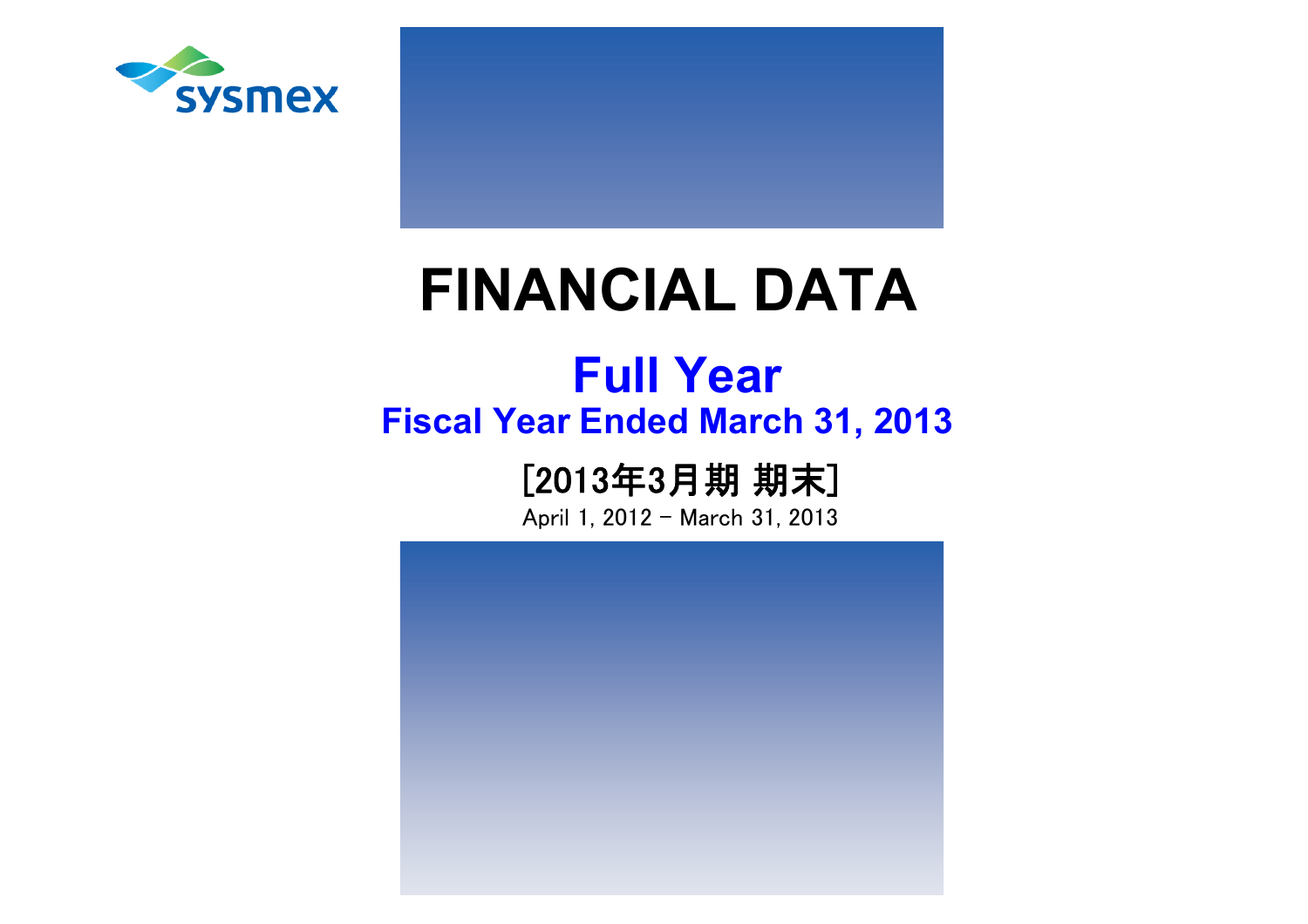

# **FINANCIAL DATA**

## **Fiscal Year Ended March 31, 2013 Full Year**

## [2013年3月期 期末]

April 1, 2012 - March 31, 2013

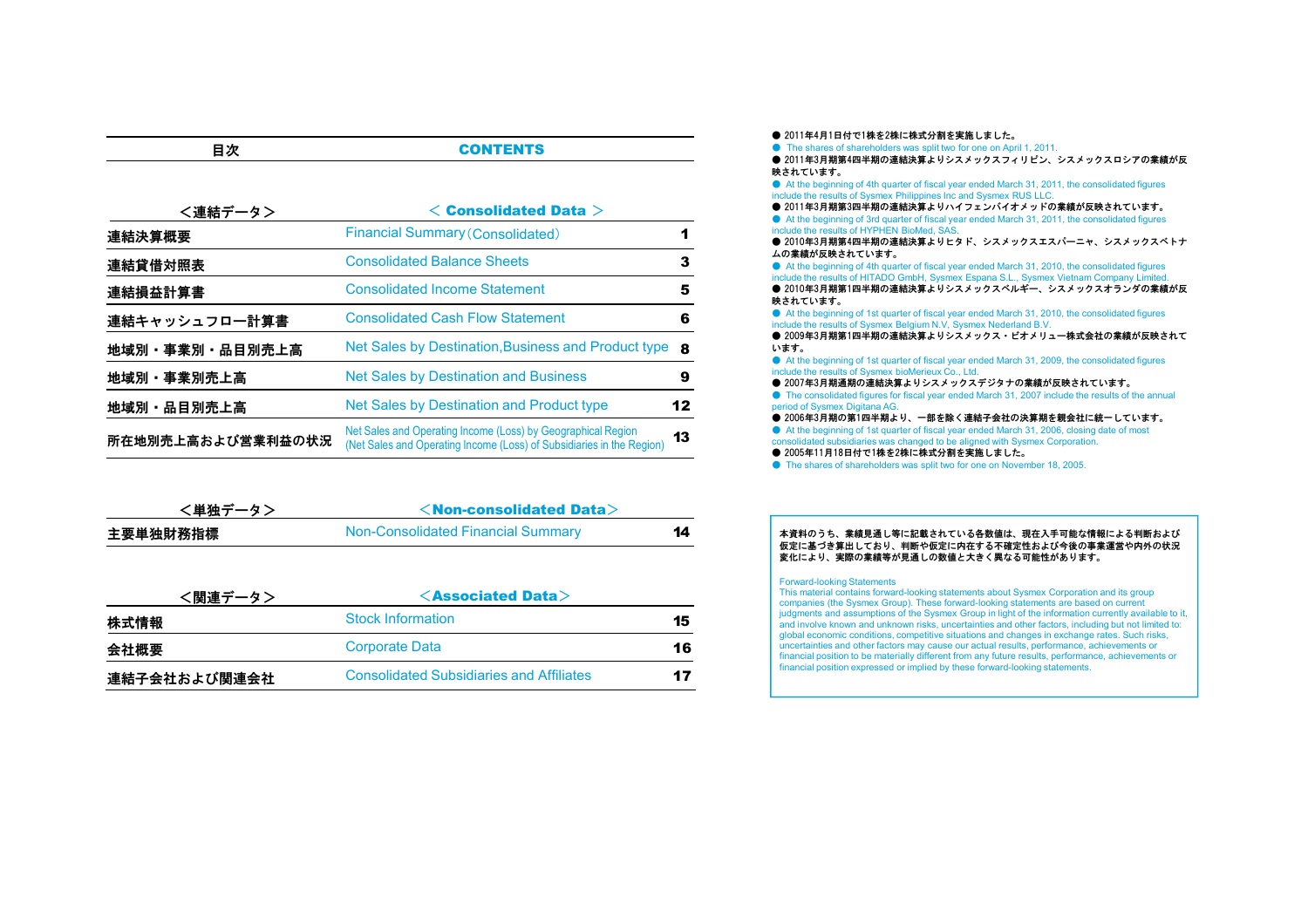| <連結データ>           | $\leq$ Consolidated Data $>$                                                                                                          |     |
|-------------------|---------------------------------------------------------------------------------------------------------------------------------------|-----|
| 連結決算概要            | <b>Financial Summary (Consolidated)</b>                                                                                               |     |
| 連結貸借対照表           | <b>Consolidated Balance Sheets</b>                                                                                                    | 3   |
| 連結損益計算書           | <b>Consolidated Income Statement</b>                                                                                                  | 5   |
| 連結キャッシュフロ一計算書     | <b>Consolidated Cash Flow Statement</b>                                                                                               | 6   |
| 地域別・事業別・品目別売上高    | Net Sales by Destination, Business and Product type                                                                                   | - 8 |
| 地域別・事業別売上高        | <b>Net Sales by Destination and Business</b>                                                                                          | 9   |
| 地域別・品目別売上高        | Net Sales by Destination and Product type                                                                                             | 12  |
| 所在地別売上高および営業利益の状況 | Net Sales and Operating Income (Loss) by Geographical Region<br>(Net Sales and Operating Income (Loss) of Subsidiaries in the Region) | 13  |

**CONTENTS** 

目次

| <単独データ>  | $\le$ Non-consolidated Data $>$    |    |
|----------|------------------------------------|----|
| 主要単独財務指標 | Non-Consolidated Financial Summary | 14 |

| <関連データ>      | $\leq$ Associated Data $>$                      |    |
|--------------|-------------------------------------------------|----|
| 株式情報         | <b>Stock Information</b>                        | 15 |
| 会社概要         | <b>Corporate Data</b>                           | 16 |
| 連結子会社および関連会社 | <b>Consolidated Subsidiaries and Affiliates</b> | 17 |

● 2011年4月1日付で1株を2株に株式分割を実施しました。 ● The shares of shareholders was split two for one on April 1, 2011. ● 2011年3月期第4四半期の連結決算よりシスメックスフィリピン、シスメックスロシアの業績が反 映されています。 ● At the beginning of 4th quarter of fiscal year ended March 31, 2011, the consolidated figures include the results of Sysmex Philippines Inc and Sysmex RUS LLC. ● 2011年3月期第3四半期の連結決算よりハイフェンバイオメッドの業績が反映されています。 ● At the beginning of 3rd quarter of fiscal year ended March 31, 2011, the consolidated figures include the results of HYPHEN BioMed, SAS. ● 2010年3月期第4四半期の連結決算よりヒタド、シスメックスエスパーニャ、シスメックスベトナ ムの業績が反映されています。 ● At the beginning of 4th quarter of fiscal year ended March 31, 2010, the consolidated figures include the results of HITADO GmbH, Sysmex Espana S.L., Sysmex Vietnam Company Limited. ■ 2010年3月期第1四半期の連結決算よりシスメックスベルギー、シスメックスオランダの業績が反 映されています。 ● At the beginning of 1st quarter of fiscal year ended March 31, 2010, the consolidated figures include the results of Sysmex Belgium N.V, Sysmex Nederland B.V. ● 2009年3月期第1四半期の連結決算よりシスメックス・ビオメリュー株式会社の業績が反映されて います。 ● At the beginning of 1st quarter of fiscal year ended March 31, 2009, the consolidated figures include the results of Sysmex bioMerieux Co., Ltd. ● 2007年3月期通期の連結決算よりシスメックスデジタナの業績が反映されています。 ● The consolidated figures for fiscal year ended March 31, 2007 include the results of the annual period of Sysmex Digitana AG. ● 2006年3月期の第1四半期より、一部を除く連結子会社の決算期を親会社に統一しています。 ● At the beginning of 1st quarter of fiscal year ended March 31, 2006, closing date of most consolidated subsidiaries was changed to be aligned with Sysmex Corporation. ● 2005年11月18日付で1株を2株に株式分割を実施しました。

● The shares of shareholders was split two for one on November 18, 2005.

#### 本資料のうち、業績見通し等に記載されている各数値は、現在入手可能な情報による判断および 仮定に基づき算出しており、判断や仮定に内在する不確定性および今後の事業運営や内外の状況変化により、実際の業績等が見通しの数値と大きく異なる可能性があります。

#### Forward-looking Statements

This material contains forward-looking statements about Sysmex Corporation and its group companies (the Sysmex Group). These forward-looking statements are based on current judgments and assumptions of the Sysmex Group in light of the information currently available to it, and involve known and unknown risks, uncertainties and other factors, including but not limited to: global economic conditions, competitive situations and changes in exchange rates. Such risks, uncertainties and other factors may cause our actual results, performance, achievements or financial position to be materially different from any future results, performance, achievements or financial position expressed or implied by these forward-looking statements.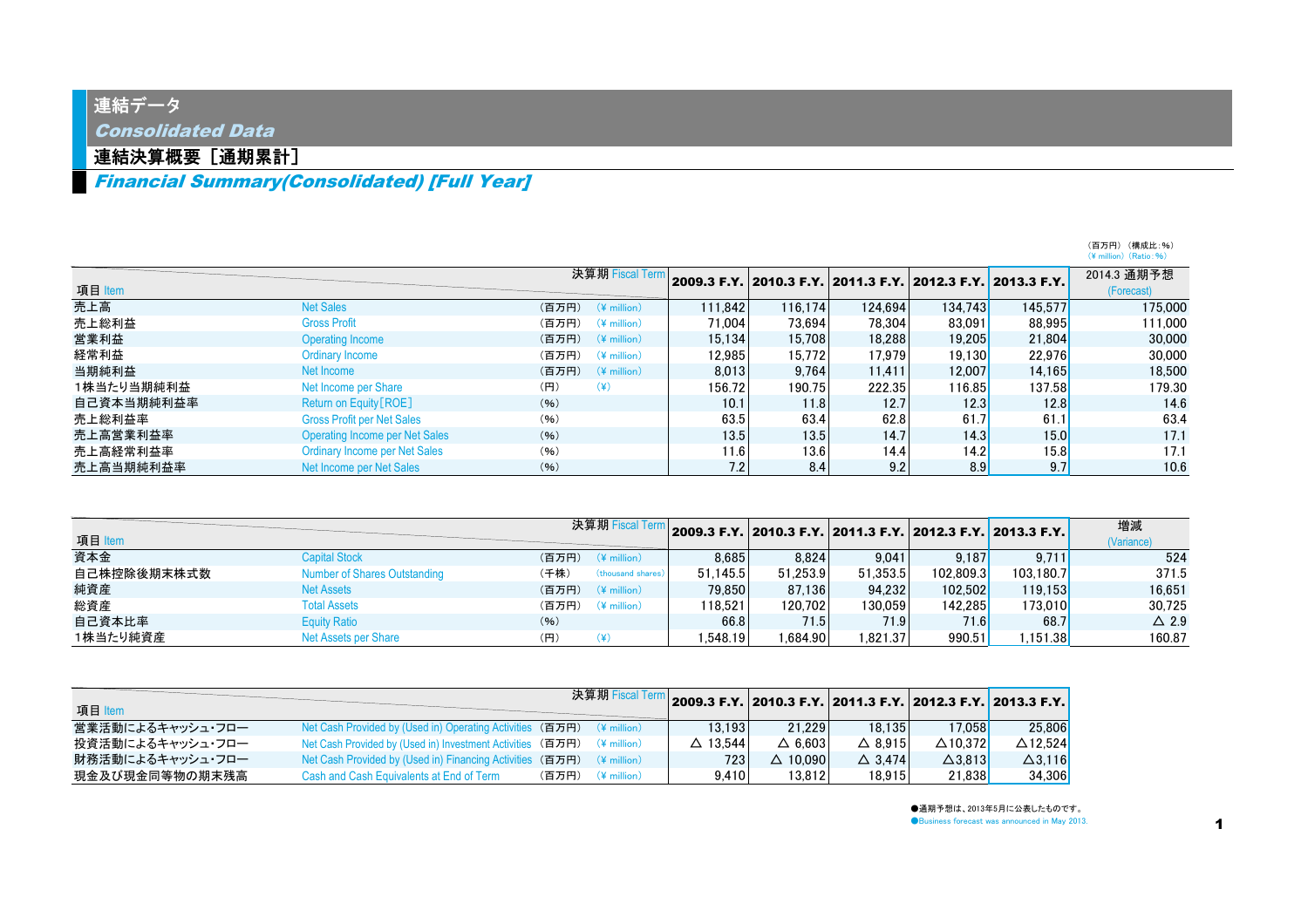### 連結データ

Consolidated Data

### 連結決算概要[通期累計]

Financial Summary(Consolidated) [Full Year]

|            |                                       |                                  |         |         |         |         |                                                             | $(\frac{4}{5})$ million $(Ratio: 96)$ |
|------------|---------------------------------------|----------------------------------|---------|---------|---------|---------|-------------------------------------------------------------|---------------------------------------|
|            |                                       | 決算期 Fiscal Term                  |         |         |         |         | 2009.3 F.Y. 2010.3 F.Y. 2011.3 F.Y. 2012.3 F.Y. 2013.3 F.Y. | 2014.3 通期予想                           |
| 項目 Item    |                                       |                                  |         |         |         |         |                                                             | (Forecast)                            |
| 売上高        | <b>Net Sales</b>                      | (百万円)<br>$(*$ million)           | 111.842 | 116.174 | 124.694 | 134.743 | 145,577                                                     | 175,000                               |
| 売上総利益      | <b>Gross Profit</b>                   | (百万円)<br>$(\frac{2}{3})$ million | 71.004  | 73.694  | 78.304  | 83.091  | 88.995                                                      | 111.000                               |
| 営業利益       | <b>Operating Income</b>               | (百万円)<br>$(\frac{2}{3})$ million | 15.134  | 15.708  | 18,288  | 19.205  | 21,804                                                      | 30,000                                |
| 経常利益       | Ordinary Income                       | (百万円)<br>$(*$ million)           | 12.985  | 15.772  | 17.979  | 19.130  | 22.976                                                      | 30,000                                |
| 当期純利益      | Net Income                            | (百万円)<br>$(*$ million)           | 8.013   | 9.764   | 11.411  | 12.007  | 14.165                                                      | 18,500                                |
| 1株当たり当期純利益 | Net Income per Share                  | $(\yen)$<br>(円)                  | 156.72  | 190.75  | 222.35  | 116.85  | 137.58                                                      | 179.30                                |
| 自己資本当期純利益率 | Return on Equity [ROE]                | (96)                             | 10.1    | 11.8    | 12.7    | 12.3    | 12.8                                                        | 14.6                                  |
| 売上総利益率     | <b>Gross Profit per Net Sales</b>     | (96)                             | 63.5    | 63.4    | 62.8    | 61.7    | 61.1                                                        | 63.4                                  |
| 売上高営業利益率   | <b>Operating Income per Net Sales</b> | (96)                             | 13.5    | 13.5    | 14.7    | 14.3    | 15.0                                                        | 17.1                                  |
| 売上高経常利益率   | Ordinary Income per Net Sales         | (96)                             | 11.6    | 13.6    | 14.4    | 14.2    | 15.8                                                        | 17.1                                  |
| 売上高当期純利益率  | Net Income per Net Sales              | (96)                             | 7.2     | 8.4     | 9.2     | 8.9     | 9.7                                                         | 10.6                                  |

| 項目 Item     |                              |       | 決算期 Fiscal Term       |          |          |          |           | 2009.3 F.Y. 2010.3 F.Y. 2011.3 F.Y. 2012.3 F.Y. 2013.3 F.Y. | 増減<br>(Variance) |
|-------------|------------------------------|-------|-----------------------|----------|----------|----------|-----------|-------------------------------------------------------------|------------------|
| 資本金         | <b>Capital Stock</b>         | (百万円) | $(4 \text{ million})$ | 8.685    | 8.824    | 9.041    | 9.187     | 9.711                                                       | 524              |
| 自己株控除後期末株式数 | Number of Shares Outstanding | (千株)  | (thousand shares)     | 51.145.5 | 51.253.9 | 51.353.5 | 102.809.3 | 103.180.7                                                   | 371.5            |
| 純資産         | <b>Net Assets</b>            | (百万円) | $(*$ million)         | 79.850   | 87.136   | 94.232   | 102.502   | 119.153                                                     | 16.651           |
| 総資産         | <b>Total Assets</b>          | (百万円) | $(*$ million)         | 118.521  | 120.702  | 130.059  | 142.285   | 173,010                                                     | 30.725           |
| 自己資本比率      | <b>Equity Ratio</b>          | (96)  |                       | 66.8     | 71.5     | 71.9     | 71.6      | 68.7                                                        | $\triangle$ 2.9  |
| 1株当たり純資産    | Net Assets per Share         | (円)   |                       | .548.19  | .684.90  | 1.821.37 | 990.51    | .151.38                                                     | 160.87           |

|                  |                                                                                 |       | 決算期 Fiscal Term          | 2009.3 F.Y. 2010.3 F.Y. 2011.3 F.Y. 2012.3 F.Y. 2013.3 F.Y. 2 |                    |                   |                    |                    |
|------------------|---------------------------------------------------------------------------------|-------|--------------------------|---------------------------------------------------------------|--------------------|-------------------|--------------------|--------------------|
| 項目 Item          |                                                                                 |       |                          |                                                               |                    |                   |                    |                    |
| 営業活動によるキャッシュ・フロー | Net Cash Provided by (Used in) Operating Activities (百万円) (¥ million)           |       |                          | 13.193                                                        | 21.229             | 18.135            | 17.058             | 25.806             |
| 投資活動によるキャッシュ・フロー | Net Cash Provided by (Used in) Investment Activities (百万円) (¥ million)          |       |                          | $\triangle$ 13.544                                            | $\triangle$ 6.603  | $\triangle$ 8.915 | $\triangle$ 10.372 | $\triangle$ 12.524 |
| 財務活動によるキャッシュ・フロー | Net Cash Provided by (Used in) Financing Activities (百万円) $(4 \text{ million})$ |       |                          | 723                                                           | $\triangle$ 10.090 | $\triangle$ 3.474 | $\triangle$ 3.813  | $\Delta$ 3.116     |
| 現金及び現金同等物の期末残高   | Cash and Cash Equivalents at End of Term                                        | (百万円) | $(\frac{1}{2})$ million) | 9.410                                                         | 13.812             | 18.915            | 21.838             | 34.306             |

●通期予想は、2013年5月に公表したものです。 **Business forecast was announced in May 2013.** 

(百万円) (構成比:%)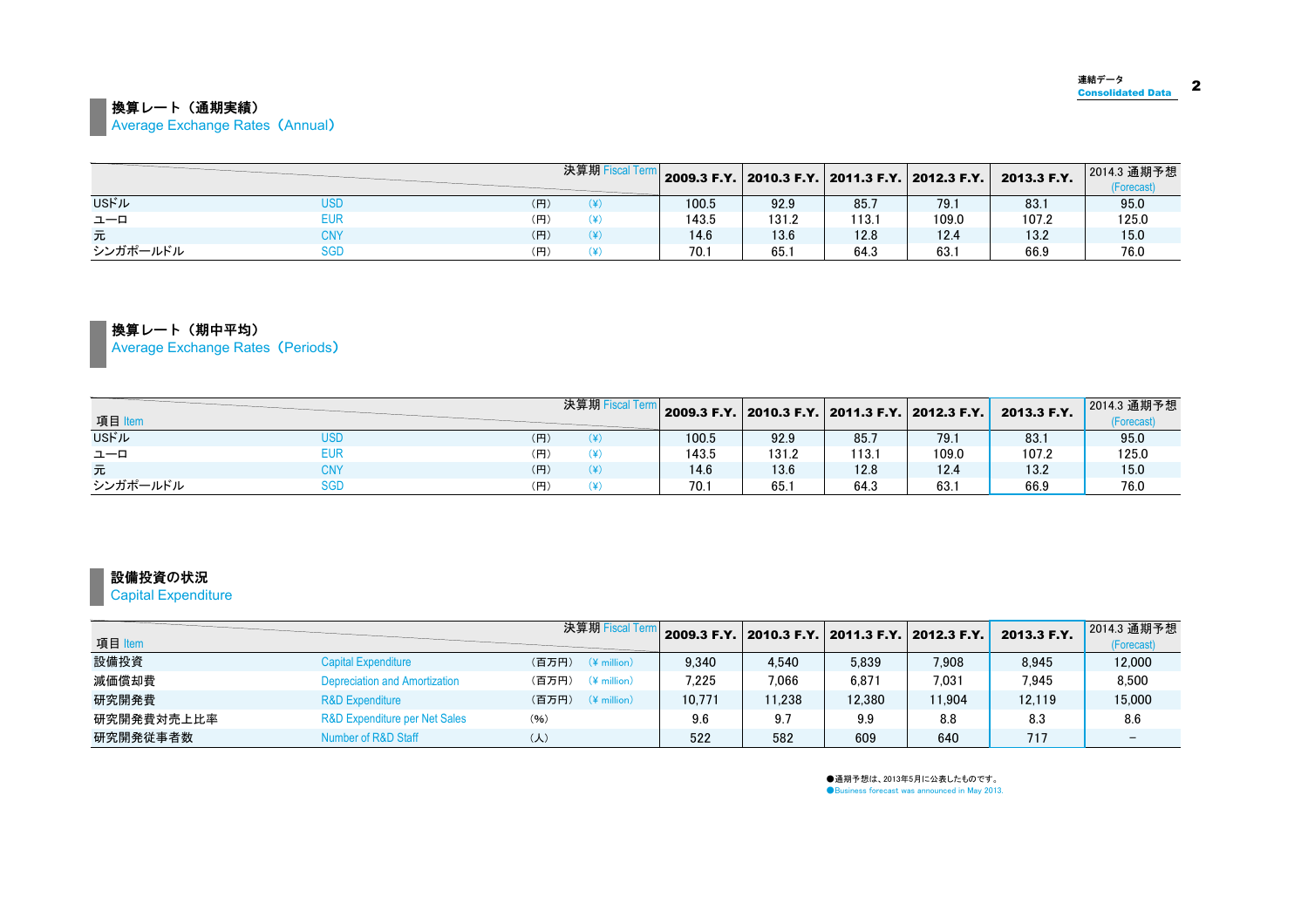#### ■ 換算レート (通期実績) **Average Exchange Rates (Annual)**

|              |            |     | 決算期 Fiscal Term |       | 2009.3 F.Y. 2010.3 F.Y. 2011.3 F.Y. 2012.3 F.Y. |       |       | 2013.3 F.Y. | 2014.3 通期予想<br>(Forecast) |
|--------------|------------|-----|-----------------|-------|-------------------------------------------------|-------|-------|-------------|---------------------------|
| <b>USFIL</b> | use        | (円) |                 | 100.5 | 92.9                                            | 85.7  | 79.1  | 83.         | 95.0                      |
| ユーロ          | EUR        | (円) |                 | 143.5 | 131.2                                           | 113.1 | 109.0 | 107.2       | 125.0                     |
| 元            | <b>CNY</b> | (円) |                 | 14.6  | 13.6                                            | 12.8  | 12.4  | 13.2        | 15.0                      |
| シンガポールドル     | SGD        | (円) |                 | 70.7  | 65.1                                            | 64.3  | 63.   | 66.9        | 76.0                      |

換算レート(期中平均) Average Exchange Rates (Periods)

|              |            |     | 決算期F |       | 2009.3 F.Y. 2010.3 F.Y. 2011.3 F.Y. 2012.3 F.Y. |       |       | 2013.3 F.Y. | 2014.3 通期予想 |
|--------------|------------|-----|------|-------|-------------------------------------------------|-------|-------|-------------|-------------|
| 項目 Item      |            |     |      |       |                                                 |       |       |             | (Forecast)  |
| <b>USFJL</b> | <b>USD</b> | (円) |      | 100.5 | 92.9                                            | 85.7  | 79.   | 83.1        | 95.0        |
| ユーロ          | EUR        | (円) |      | 143.5 | 131.2                                           | 113.1 | 109.0 | 107.2       | 125.0       |
| 元            | CNY        | (円) |      | 14.6  | 13.6                                            | 12.8  | 12.4  | 13.2        | 15.0        |
| シンガポールドル     | <b>SGD</b> | (円) |      | 70.1  | 65.                                             | 64.3  | 63.   | 66.9        | 76.0        |

#### 設備投資の状況

Capital Expenditure

| 項目 Item    |                               | 決算期 Fiscal Term                   |        | 2009.3 F.Y. 2010.3 F.Y. 2011.3 F.Y. 2012.3 F.Y. |        |        | 2013.3 F.Y. | 2014.3 通期予想<br>(Forecast) |
|------------|-------------------------------|-----------------------------------|--------|-------------------------------------------------|--------|--------|-------------|---------------------------|
| 設備投資       | <b>Capital Expenditure</b>    | (百万円)<br>$(\frac{2}{3})$ million  | 9.340  | 4.540                                           | 5.839  | 7.908  | 8.945       | 12,000                    |
| 減価償却費      | Depreciation and Amortization | (百万円)<br>$(\frac{1}{2})$ million  | 7.225  | 7.066                                           | 6.871  | 7.031  | 7.945       | 8.500                     |
| 研究開発費      | <b>R&amp;D Expenditure</b>    | (百万円)<br>$(\frac{1}{2})$ million) | 10.771 | 11.238                                          | 12.380 | 11.904 | 12.119      | 15,000                    |
| 研究開発費対売上比率 | R&D Expenditure per Net Sales | (96)                              | 9.6    | 9.7                                             | 9.9    | 8.8    | 8.3         | 8.6                       |
| 研究開発従事者数   | Number of R&D Staff           | $(\lambda)$                       | 522    | 582                                             | 609    | 640    | 717         |                           |

●通期予想は、2013年5月に公表したものです。 **Business forecast was announced in May 2013.**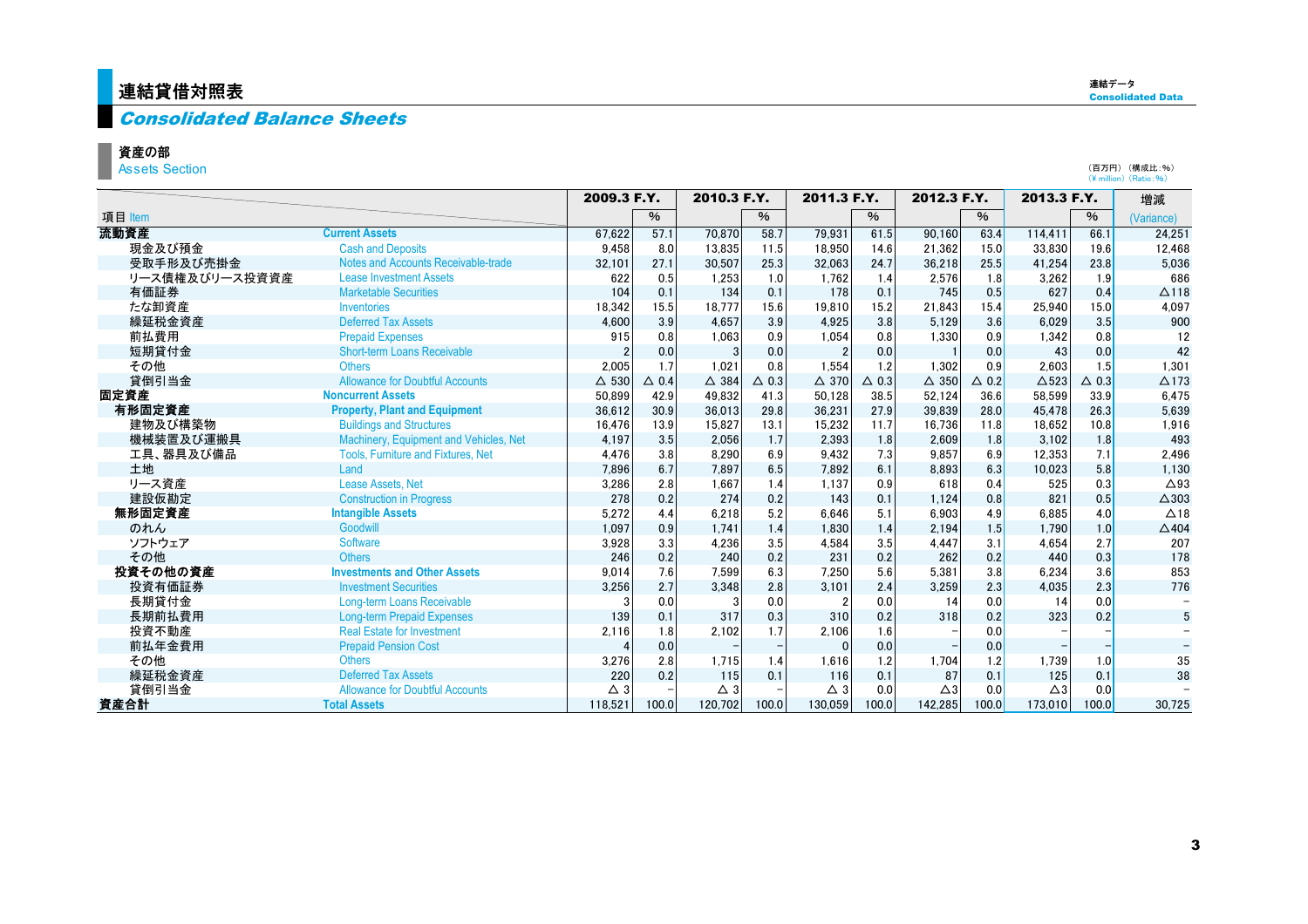### <mark>連結貸借対照表</mark>

#### Consolidated Balance Sheets

#### 資産の部

**Assets Section** 

|                |                                            |               | 2009.3 F.Y.     | 2010.3 F.Y.     |                 | 2011.3 F.Y.     |                 | 2012.3 F.Y.     |                 | 2013.3 F.Y.   |                 | 増減              |
|----------------|--------------------------------------------|---------------|-----------------|-----------------|-----------------|-----------------|-----------------|-----------------|-----------------|---------------|-----------------|-----------------|
| 項目 Item        |                                            |               | $\%$            |                 | $\%$            |                 | $\%$            |                 | %               |               | %               | (Variance)      |
| 流動資産           | <b>Current Assets</b>                      | 67.622        | 57.1            | 70.870          | 58.7            | 79.931          | 61.5            | 90.160          | 63.4            | 114.411       | 66.1            | 24.251          |
| 現金及び預金         | <b>Cash and Deposits</b>                   | 9,458         | 8.0             | 13.835          | 11.5            | 18,950          | 14.6            | 21,362          | 15.0            | 33.830        | 19.6            | 12,468          |
| 受取手形及び売掛金      | <b>Notes and Accounts Receivable-trade</b> | 32,101        | 27.1            | 30,507          | 25.3            | 32,063          | 24.7            | 36,218          | 25.5            | 41,254        | 23.8            | 5,036           |
| リース債権及びリース投資資産 | <b>Lease Investment Assets</b>             | 622           | 0.5             | 1.253           | 1.0             | 1.762           | 1.4             | 2.576           | 1.8             | 3,262         | 1.9             | 686             |
| 有価証券           | <b>Marketable Securities</b>               | 104           | 0.1             | 134             | 0.1             | 178             | 0.1             | 745             | 0.5             | 627           | 0.4             | $\Delta$ 118    |
| たな卸資産          | <b>Inventories</b>                         | 18,342        | 15.5            | 18.777          | 15.6            | 19.810          | 15.2            | 21.843          | 15.4            | 25.940        | 15.0            | 4.097           |
| 繰延税金資産         | <b>Deferred Tax Assets</b>                 | 4,600         | 3.9             | 4.657           | 3.9             | 4.925           | 3.8             | 5,129           | 3.6             | 6.029         | 3.5             | 900             |
| 前払費用           | <b>Prepaid Expenses</b>                    | 915           | 0.8             | 1.063           | 0.9             | 1,054           | 0.8             | 1.330           | 0.9             | 1.342         | 0.8             | 12              |
| 短期貸付金          | <b>Short-term Loans Receivable</b>         |               | 0.0             | 3               | 0.0             | $\mathfrak{p}$  | 0.0             |                 | 0.0             | 43            | 0.0             | 42              |
| その他            | <b>Others</b>                              | 2,005         | 1.7             | 1.021           | 0.8             | 1.554           | 1.2             | 1.302           | 0.9             | 2.603         | 1.5             | 1.301           |
| 貸倒引当金          | <b>Allowance for Doubtful Accounts</b>     | $\Delta$ 530  | $\triangle$ 0.4 | $\triangle$ 384 | $\triangle$ 0.3 | $\triangle$ 370 | $\triangle$ 0.3 | $\triangle$ 350 | $\triangle$ 0.2 | $\Delta$ 523  | $\triangle$ 0.3 | $\triangle$ 173 |
| 固定資産           | <b>Noncurrent Assets</b>                   | 50,899        | 42.9            | 49.832          | 41.3            | 50.128          | 38.5            | 52.124          | 36.6            | 58.599        | 33.9            | 6.475           |
| 有形固定資産         | <b>Property, Plant and Equipment</b>       | 36,612        | 30.9            | 36,013          | 29.8            | 36,231          | 27.9            | 39,839          | 28.0            | 45,478        | 26.3            | 5,639           |
| 建物及び構築物        | <b>Buildings and Structures</b>            | 16,476        | 13.9            | 15,827          | 13.1            | 15,232          | 11.7            | 16,736          | 11.8            | 18,652        | 10.8            | 1,916           |
| 機械装置及び運搬具      | Machinery, Equipment and Vehicles, Net     | 4.197         | 3.5             | 2.056           | 1.7             | 2.393           | 1.8             | 2.609           | 1.8             | 3.102         | 1.8             | 493             |
| 工具、器具及び備品      | <b>Tools. Furniture and Fixtures. Net</b>  | 4,476         | 3.8             | 8.290           | 6.9             | 9.432           | 7.3             | 9.857           | 6.9             | 12.353        | 7.1             | 2,496           |
| 土地             | Land                                       | 7,896         | 6.7             | 7.897           | 6.5             | 7,892           | 6.1             | 8,893           | 6.3             | 10,023        | 5.8             | 1,130           |
| リース資産          | <b>Lease Assets, Net</b>                   | 3,286         | 2.8             | 1.667           | 1.4             | 1.137           | 0.9             | 618             | 0.4             | 525           | 0.3             | $\triangle$ 93  |
| 建設仮勘定          | <b>Construction in Progress</b>            | 278           | 0.2             | 274             | 0.2             | 143             | 0.1             | 1.124           | 0.8             | 821           | 0.5             | $\triangle$ 303 |
| 無形固定資産         | <b>Intangible Assets</b>                   | 5,272         | 4.4             | 6.218           | 5.2             | 6,646           | 5.1             | 6.903           | 4.9             | 6,885         | 4.0             | $\triangle$ 18  |
| のれん            | Goodwill                                   | 1.097         | 0.9             | 1.741           | 1.4             | 1.830           | 1.4             | 2.194           | 1.5             | 1.790         | 1.0             | $\triangle$ 404 |
| ソフトウェア         | <b>Software</b>                            | 3,928         | 3.3             | 4,236           | 3.5             | 4,584           | 3.5             | 4.447           | 3.1             | 4,654         | 2.7             | 207             |
| その他            | <b>Others</b>                              | 246           | 0.2             | 240             | 0.2             | 231             | 0.2             | 262             | 0.2             | 440           | 0.3             | 178             |
| 投資その他の資産       | <b>Investments and Other Assets</b>        | 9,014         | 7.6             | 7.599           | 6.3             | 7.250           | 5.6             | 5.381           | 3.8             | 6,234         | 3.6             | 853             |
| 投資有価証券         | <b>Investment Securities</b>               | 3,256         | 2.7             | 3,348           | 2.8             | 3,101           | 2.4             | 3,259           | 2.3             | 4,035         | 2.3             | 776             |
| 長期貸付金          | <b>Long-term Loans Receivable</b>          | 3             | 0.0             |                 | 0.0             |                 | 0.0             | 14              | 0.0             | 14            | 0.0             |                 |
| 長期前払費用         | <b>Long-term Prepaid Expenses</b>          | 139           | 0.1             | 317             | 0.3             | 310             | 0.2             | 318             | 0.2             | 323           | 0.2             | 5               |
| 投資不動産          | <b>Real Estate for Investment</b>          | 2,116         | 1.8             | 2.102           | 1.7             | 2,106           | 1.6             |                 | 0.0             |               |                 |                 |
| 前払年金費用         | <b>Prepaid Pension Cost</b>                |               | 0.0             |                 |                 | $\Omega$        | 0.0             |                 | 0.0             |               |                 |                 |
| その他            | <b>Others</b>                              | 3,276         | 2.8             | 1.715           | 1.4             | 1.616           | 1.2             | 1,704           | 1.2             | 1,739         | 1.0             | 35              |
| 繰延税金資産         | <b>Deferred Tax Assets</b>                 | 220           | 0.2             | 115             | 0.1             | 116             | 0.1             | 87              | 0.1             | 125           | 0.1             | 38              |
| 貸倒引当金          | <b>Allowance for Doubtful Accounts</b>     | $\triangle$ 3 |                 | $\triangle$ 3   |                 | $\triangle$ 3   | 0.0             | $\triangle 3$   | 0.0             | $\triangle 3$ | 0.0             |                 |
| 資産合計           | <b>Total Assets</b>                        | 118.521       | 100.0           | 120.702         | 100.0           | 130.059         | 100.0           | 142.285         | 100.0           | 173,010       | 100.0           | 30.725          |

(百万円) (構成比:%) (\ million) (Ratio:%)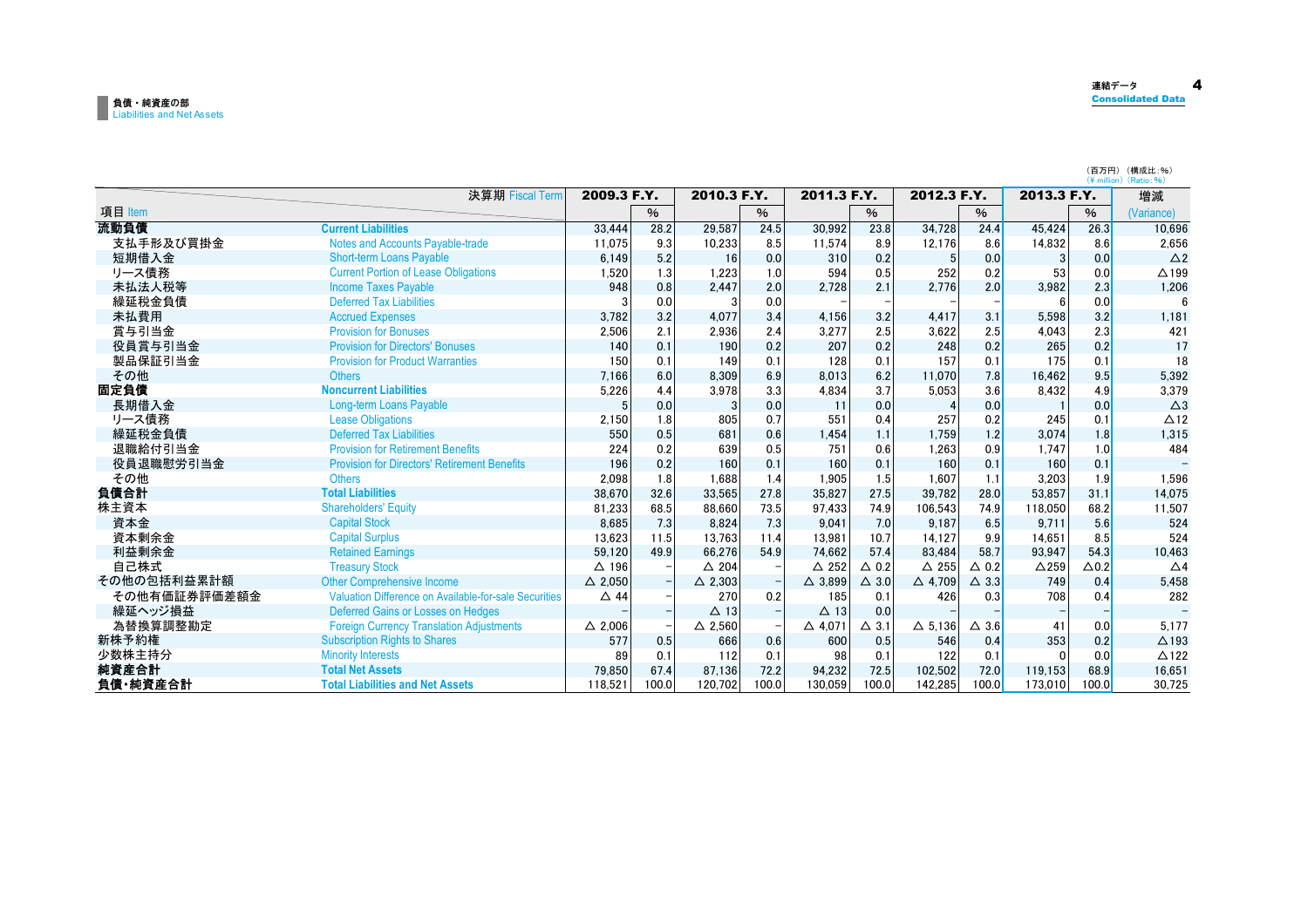### 負債・純資産の部<br>Liabilities and Net Assets

| 連結データ                        | $\sqrt{ }$ |
|------------------------------|------------|
| <br><b>Consolidated Data</b> |            |

|              |                                                       |                   |       |                   |               |                   |                 |                   |                 |                 |              | (百万円) (構成比:%)<br>$(Y \text{ million})$ (Ratio: %) |
|--------------|-------------------------------------------------------|-------------------|-------|-------------------|---------------|-------------------|-----------------|-------------------|-----------------|-----------------|--------------|---------------------------------------------------|
|              | 決算期 Fiscal Term                                       | 2009.3 F.Y.       |       | 2010.3 F.Y.       |               | 2011.3 F.Y.       |                 | 2012.3 F.Y.       |                 | 2013.3 F.Y.     |              | 増減                                                |
| 項目 Item      |                                                       |                   | %     |                   | $\frac{0}{6}$ |                   | $\%$            |                   | $\%$            |                 | $\%$         | (Variance)                                        |
| 流動負債         | <b>Current Liabilities</b>                            | 33,444            | 28.2  | 29,587            | 24.5          | 30,992            | 23.8            | 34,728            | 24.4            | 45,424          | 26.3         | 10.696                                            |
| 支払手形及び買掛金    | <b>Notes and Accounts Payable-trade</b>               | 11.075            | 9.3   | 10,233            | 8.5           | 11.574            | 8.9             | 12.176            | 8.6             | 14,832          | 8.6          | 2.656                                             |
| 短期借入金        | <b>Short-term Loans Payable</b>                       | 6,149             | 5.2   | 16                | 0.0           | 310               | 0.2             |                   | 0.0             | 3               | 0.0          | $\triangle$ 2                                     |
| リース債務        | <b>Current Portion of Lease Obligations</b>           | 1.520             | 1.3   | 1,223             | 1.0           | 594               | 0.5             | 252               | 0.2             | 53              | 0.0          | $\triangle$ 199                                   |
| 未払法人税等       | <b>Income Taxes Payable</b>                           | 948               | 0.8   | 2.447             | 2.0           | 2.728             | 2.1             | 2.776             | 2.0             | 3,982           | 2.3          | 1.206                                             |
| 繰延税金負債       | <b>Deferred Tax Liabilities</b>                       |                   | 0.0   |                   | 0.0           |                   |                 |                   |                 |                 | 0.0          |                                                   |
| 未払費用         | <b>Accrued Expenses</b>                               | 3.782             | 3.2   | 4.077             | 3.4           | 4,156             | 3.2             | 4.417             | 3.1             | 5.598           | 3.2          | 1.181                                             |
| 賞与引当金        | <b>Provision for Bonuses</b>                          | 2.506             | 2.1   | 2.936             | 2.4           | 3.277             | 2.5             | 3,622             | 2.5             | 4,043           | 2.3          | 421                                               |
| 役員賞与引当金      | <b>Provision for Directors' Bonuses</b>               | 140               | 0.1   | 190               | 0.2           | 207               | 0.2             | 248               | 0.2             | 265             | 0.2          | 17                                                |
| 製品保証引当金      | <b>Provision for Product Warranties</b>               | 150               | 0.1   | 149               | 0.1           | 128               | 0.1             | 157               | 0.1             | 175             | 0.1          | 18                                                |
| その他          | <b>Others</b>                                         | 7.166             | 6.0   | 8.309             | 6.9           | 8.013             | 6.2             | 11.070            | 7.8             | 16,462          | 9.5          | 5,392                                             |
| 固定負債         | <b>Noncurrent Liabilities</b>                         | 5,226             | 4.4   | 3.978             | 3.3           | 4.834             | 3.7             | 5,053             | 3.6             | 8.432           | 4.9          | 3.379                                             |
| 長期借入金        | <b>Long-term Loans Payable</b>                        |                   | 0.0   |                   | 0.0           | 11                | 0.0             |                   | 0.0             |                 | 0.0          | $\triangle$ 3                                     |
| リース債務        | <b>Lease Obligations</b>                              | 2,150             | 1.8   | 805               | 0.7           | 551               | 0.4             | 257               | 0.2             | 245             | 0.1          | $\triangle$ 12                                    |
| 繰延税金負債       | <b>Deferred Tax Liabilities</b>                       | 550               | 0.5   | 681               | 0.6           | 1.454             | 1.1             | 1.759             | 1.2             | 3,074           | 1.8          | 1,315                                             |
| 退職給付引当金      | <b>Provision for Retirement Benefits</b>              | 224               | 0.2   | 639               | 0.5           | 751               | 0.6             | 1,263             | 0.9             | 1.747           | 1.0          | 484                                               |
| 役員退職慰労引当金    | <b>Provision for Directors' Retirement Benefits</b>   | 196               | 0.2   | 160               | 0.1           | 160               | 0.1             | 160               | 0.1             | 160             | 0.1          |                                                   |
| その他          | <b>Others</b>                                         | 2.098             | 1.8   | 1.688             | 1.4           | 1.905             | 1.5             | 1.607             | 1.1             | 3.203           | 1.9          | 1,596                                             |
| 負債合計         | <b>Total Liabilities</b>                              | 38,670            | 32.6  | 33.565            | 27.8          | 35.827            | 27.5            | 39.782            | 28.0            | 53.857          | 31.1         | 14.075                                            |
| 株主資本         | <b>Shareholders' Equity</b>                           | 81,233            | 68.5  | 88,660            | 73.5          | 97.433            | 74.9            | 106,543           | 74.9            | 118,050         | 68.2         | 11,507                                            |
| 資本金          | <b>Capital Stock</b>                                  | 8.685             | 7.3   | 8.824             | 7.3           | 9.041             | 7.0             | 9.187             | 6.5             | 9.711           | 5.6          | 524                                               |
| 資本剰余金        | <b>Capital Surplus</b>                                | 13,623            | 11.5  | 13.763            | 11.4          | 13.981            | 10.7            | 14.127            | 9.9             | 14.651          | 8.5          | 524                                               |
| 利益剰余金        | <b>Retained Earnings</b>                              | 59.120            | 49.9  | 66.276            | 54.9          | 74.662            | 57.4            | 83.484            | 58.7            | 93.947          | 54.3         | 10.463                                            |
| 自己株式         | <b>Treasury Stock</b>                                 | $\Delta$ 196      |       | $\triangle$ 204   |               | $\triangle$ 252   | $\triangle$ 0.2 | $\triangle$ 255   | $\triangle$ 0.2 | $\triangle$ 259 | $\Delta$ 0.2 | $\triangle$ 4                                     |
| その他の包括利益累計額  | <b>Other Comprehensive Income</b>                     | $\triangle$ 2.050 |       | $\triangle$ 2.303 |               | $\triangle$ 3.899 | $\triangle$ 3.0 | $\triangle$ 4.709 | $\triangle$ 3.3 | 749             | 0.4          | 5.458                                             |
| その他有価証券評価差額金 | Valuation Difference on Available-for-sale Securities | $\triangle$ 44    |       | 270               | 0.2           | 185               | 0.1             | 426               | 0.3             | 708             | 0.4          | 282                                               |
| 繰延ヘッジ損益      | Deferred Gains or Losses on Hedges                    |                   |       | $\Delta$ 13       |               | $\Delta$ 13       | 0.0             |                   |                 |                 |              |                                                   |
| 為替換算調整勘定     | <b>Foreign Currency Translation Adjustments</b>       | $\triangle$ 2.006 |       | $\triangle$ 2.560 |               | $\triangle$ 4.071 | $\Delta$ 3.1    | $\Delta$ 5.136    | $\triangle$ 3.6 | 41              | 0.0          | 5.177                                             |
| 新株予約権        | <b>Subscription Rights to Shares</b>                  | 577               | 0.5   | 666               | 0.6           | 600               | 0.5             | 546               | 0.4             | 353             | 0.2          | $\triangle$ 193                                   |
| 少数株主持分       | <b>Minority Interests</b>                             | 89                | 0.1   | 112               | 0.1           | 98                | 0.1             | 122               | 0.1             | $\Omega$        | 0.0          | $\triangle$ 122                                   |
| 純資産合計        | <b>Total Net Assets</b>                               | 79,850            | 67.4  | 87,136            | 72.2          | 94,232            | 72.5            | 102,502           | 72.0            | 119,153         | 68.9         | 16,651                                            |
| 負債·純資産合計     | <b>Total Liabilities and Net Assets</b>               | 118.521           | 100.0 | 120.702           | 100.0         | 130.059           | 100.0           | 142.285           | 100.0           | 173.010         | 100.0        | 30.725                                            |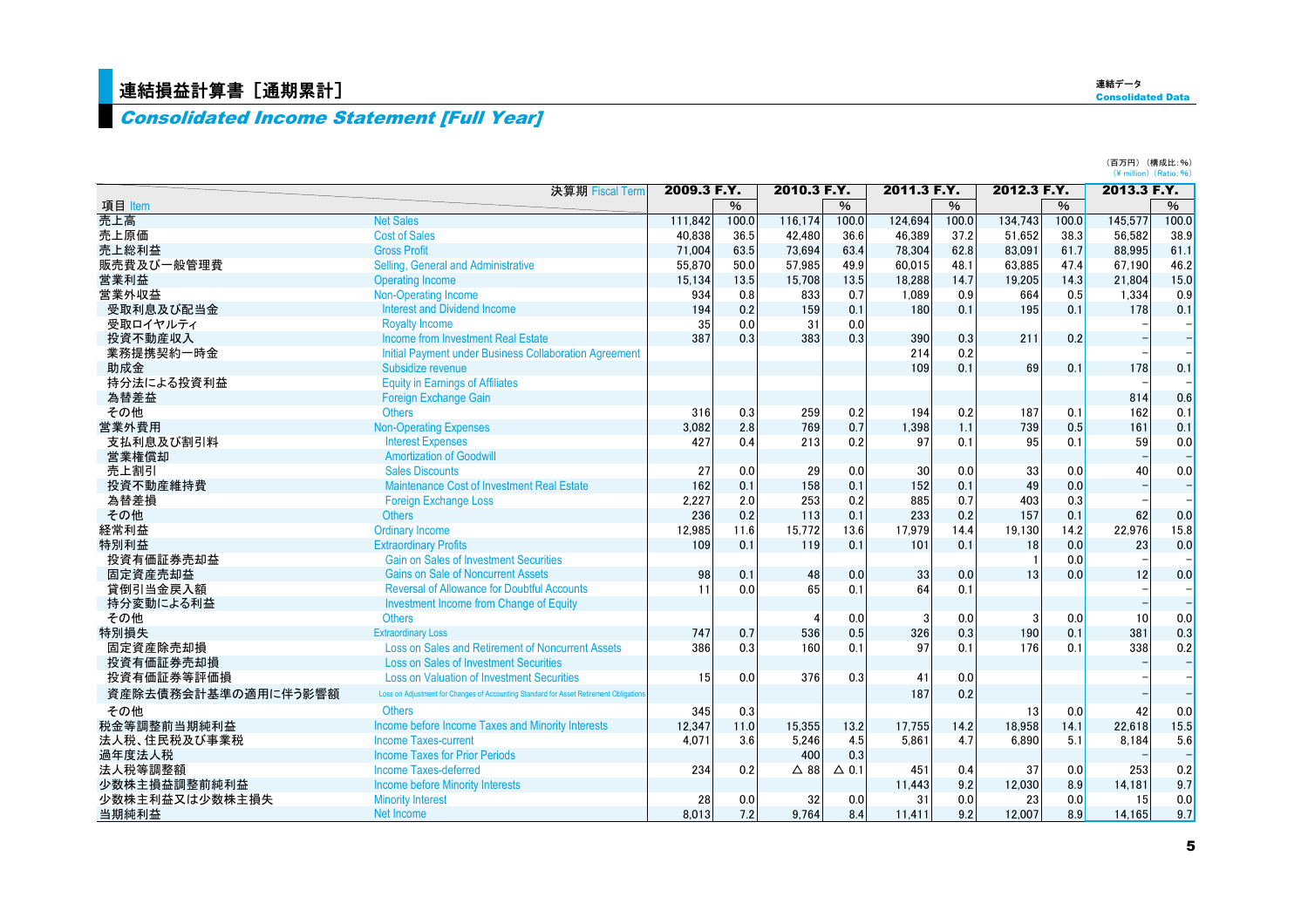### <mark>|連結損益計算書[通期累計]</mark>

### Consolidated Income Statement [Full Year]

(百万円) (構成比:%)<br>(¥ million)(Ratio:%)

|                     | 決算期 Fiscal Term                                                                       | 2009.3 F.Y. |               | 2010.3 F.Y. |               | 2011.3 F.Y. |       | 2012.3 F.Y. |       | 2013.3 F.Y. |       |
|---------------------|---------------------------------------------------------------------------------------|-------------|---------------|-------------|---------------|-------------|-------|-------------|-------|-------------|-------|
| 項目 Item             |                                                                                       |             | $\frac{0}{6}$ |             | $\frac{9}{6}$ |             | $\%$  |             | $\%$  |             | $\%$  |
| 売上高                 | <b>Net Sales</b>                                                                      | 111.842     | 100.0         | 116,174     | 100.0         | 124.694     | 100.0 | 134.743     | 100.0 | 145,577     | 100.0 |
| 売上原価                | <b>Cost of Sales</b>                                                                  | 40.838      | 36.5          | 42.480      | 36.6          | 46,389      | 37.2  | 51.652      | 38.3  | 56,582      | 38.9  |
| 売上総利益               | <b>Gross Profit</b>                                                                   | 71.004      | 63.5          | 73.694      | 63.4          | 78,304      | 62.8  | 83.091      | 61.7  | 88,995      | 61.1  |
| 販売費及び一般管理費          | Selling, General and Administrative                                                   | 55,870      | 50.0          | 57,985      | 49.9          | 60,015      | 48.1  | 63,885      | 47.4  | 67,190      | 46.2  |
| 営業利益                | <b>Operating Income</b>                                                               | 15.134      | 13.5          | 15,708      | 13.5          | 18,288      | 14.7  | 19,205      | 14.3  | 21,804      | 15.0  |
| 営業外収益               | Non-Operating Income                                                                  | 934         | 0.8           | 833         | 0.7           | 1.089       | 0.9   | 664         | 0.5   | 1.334       | 0.9   |
| 受取利息及び配当金           | <b>Interest and Dividend Income</b>                                                   | 194         | 0.2           | 159         | 0.1           | 180         | 0.1   | 195         | 0.1   | 178         | 0.1   |
| 受取ロイヤルティ            | <b>Royalty Income</b>                                                                 | 35          | 0.0           | 31          | 0.0           |             |       |             |       |             |       |
| 投資不動産収入             | Income from Investment Real Estate                                                    | 387         | 0.3           | 383         | 0.3           | 390         | 0.3   | 211         | 0.2   |             |       |
| 業務提携契約一時金           | <b>Initial Payment under Business Collaboration Agreement</b>                         |             |               |             |               | 214         | 0.2   |             |       |             |       |
| 助成金                 | Subsidize revenue                                                                     |             |               |             |               | 109         | 0.1   | 69          | 0.1   | 178         | 0.1   |
| 持分法による投資利益          | <b>Equity in Earnings of Affiliates</b>                                               |             |               |             |               |             |       |             |       |             |       |
| 為替差益                | <b>Foreign Exchange Gain</b>                                                          |             |               |             |               |             |       |             |       | 814         | 0.6   |
| その他                 | <b>Others</b>                                                                         | 316         | 0.3           | 259         | 0.2           | 194         | 0.2   | 187         | 0.1   | 162         | 0.1   |
| 営業外費用               | <b>Non-Operating Expenses</b>                                                         | 3.082       | 2.8           | 769         | 0.7           | 1.398       | 1.1   | 739         | 0.5   | 161         | 0.1   |
| 支払利息及び割引料           | <b>Interest Expenses</b>                                                              | 427         | 0.4           | 213         | 0.2           | 97          | 0.1   | 95          | 0.1   | 59          | 0.0   |
| 営業権償却               | <b>Amortization of Goodwill</b>                                                       |             |               |             |               |             |       |             |       |             |       |
| 売上割引                | <b>Sales Discounts</b>                                                                | 27          | 0.0           | 29          | 0.0           | 30          | 0.0   | 33          | 0.0   | 40          | 0.0   |
| 投資不動産維持費            | Maintenance Cost of Investment Real Estate                                            | 162         | 0.1           | 158         | 0.1           | 152         | 0.1   | 49          | 0.0   |             |       |
| 為替差損                | <b>Foreign Exchange Loss</b>                                                          | 2.227       | 2.0           | 253         | 0.2           | 885         | 0.7   | 403         | 0.3   |             |       |
| その他                 | <b>Others</b>                                                                         | 236         | 0.2           | 113         | 0.1           | 233         | 0.2   | 157         | 0.1   | 62          | 0.0   |
| 経常利益                | <b>Ordinary Income</b>                                                                | 12.985      | 11.6          | 15.772      | 13.6          | 17,979      | 14.4  | 19,130      | 14.2  | 22.976      | 15.8  |
| 特別利益                | <b>Extraordinary Profits</b>                                                          | 109         | 0.1           | 119         | 0.1           | 101         | 0.1   | 18          | 0.0   | 23          | 0.0   |
| 投資有価証券売却益           | <b>Gain on Sales of Investment Securities</b>                                         |             |               |             |               |             |       |             | 0.0   |             |       |
| 固定資産売却益             | <b>Gains on Sale of Noncurrent Assets</b>                                             | 98          | 0.1           | 48          | 0.0           | 33          | 0.0   | 13          | 0.0   | 12          | 0.0   |
| 貸倒引当金戻入額            | <b>Reversal of Allowance for Doubtful Accounts</b>                                    | 11          | 0.0           | 65          | 0.1           | 64          | 0.1   |             |       |             |       |
| 持分変動による利益           | Investment Income from Change of Equity                                               |             |               |             |               |             |       |             |       |             |       |
| その他                 | <b>Others</b>                                                                         |             |               |             | 0.0           | 3           | 0.0   | 3           | 0.0   | 10          | 0.0   |
| 特別損失                | <b>Extraordinary Loss</b>                                                             | 747         | 0.7           | 536         | 0.5           | 326         | 0.3   | 190         | 0.1   | 381         | 0.3   |
| 固定資産除売却損            | Loss on Sales and Retirement of Noncurrent Assets                                     | 386         | 0.3           | 160         | 0.1           | 97          | 0.1   | 176         | 0.1   | 338         | 0.2   |
| 投資有価証券売却損           | <b>Loss on Sales of Investment Securities</b>                                         |             |               |             |               |             |       |             |       |             |       |
| 投資有価証券等評価損          | <b>Loss on Valuation of Investment Securities</b>                                     | 15          | 0.0           | 376         | 0.3           | 41          | 0.0   |             |       |             |       |
| 資産除去債務会計基準の適用に伴う影響額 | Loss on Adjustment for Changes of Accounting Standard for Asset Retirement Obligation |             |               |             |               | 187         | 0.2   |             |       |             |       |
| その他                 | <b>Others</b>                                                                         | 345         | 0.3           |             |               |             |       | 13          | 0.0   | 42          | 0.0   |
| 税金等調整前当期純利益         | Income before Income Taxes and Minority Interests                                     | 12.347      | 11.0          | 15.355      | 13.2          | 17.755      | 14.2  | 18.958      | 14.1  | 22.618      | 15.5  |
| 法人税、住民税及び事業税        | <b>Income Taxes-current</b>                                                           | 4.071       | 3.6           | 5,246       | 4.5           | 5.861       | 4.7   | 6.890       | 5.1   | 8.184       | 5.6   |
| 過年度法人税              | <b>Income Taxes for Prior Periods</b>                                                 |             |               | 400         | 0.3           |             |       |             |       |             |       |
| 法人税等調整額             | Income Taxes-deferred                                                                 | 234         | 0.2           | $\Delta$ 88 | $\Delta$ 0.1  | 451         | 0.4   | 37          | 0.0   | 253         | 0.2   |
| 少数株主損益調整前純利益        | <b>Income before Minority Interests</b>                                               |             |               |             |               | 11.443      | 9.2   | 12,030      | 8.9   | 14,181      | 9.7   |
| 少数株主利益又は少数株主損失      | <b>Minority Interest</b>                                                              | 28          | 0.0           | 32          | 0.0           | 31          | 0.0   | 23          | 0.0   | 15          | 0.0   |
| 当期純利益               | Net Income                                                                            | 8.013       | 7.2           | 9.764       | 8.4           | 11.411      | 9.2   | 12.007      | 8.9   | 14.165      | 9.7   |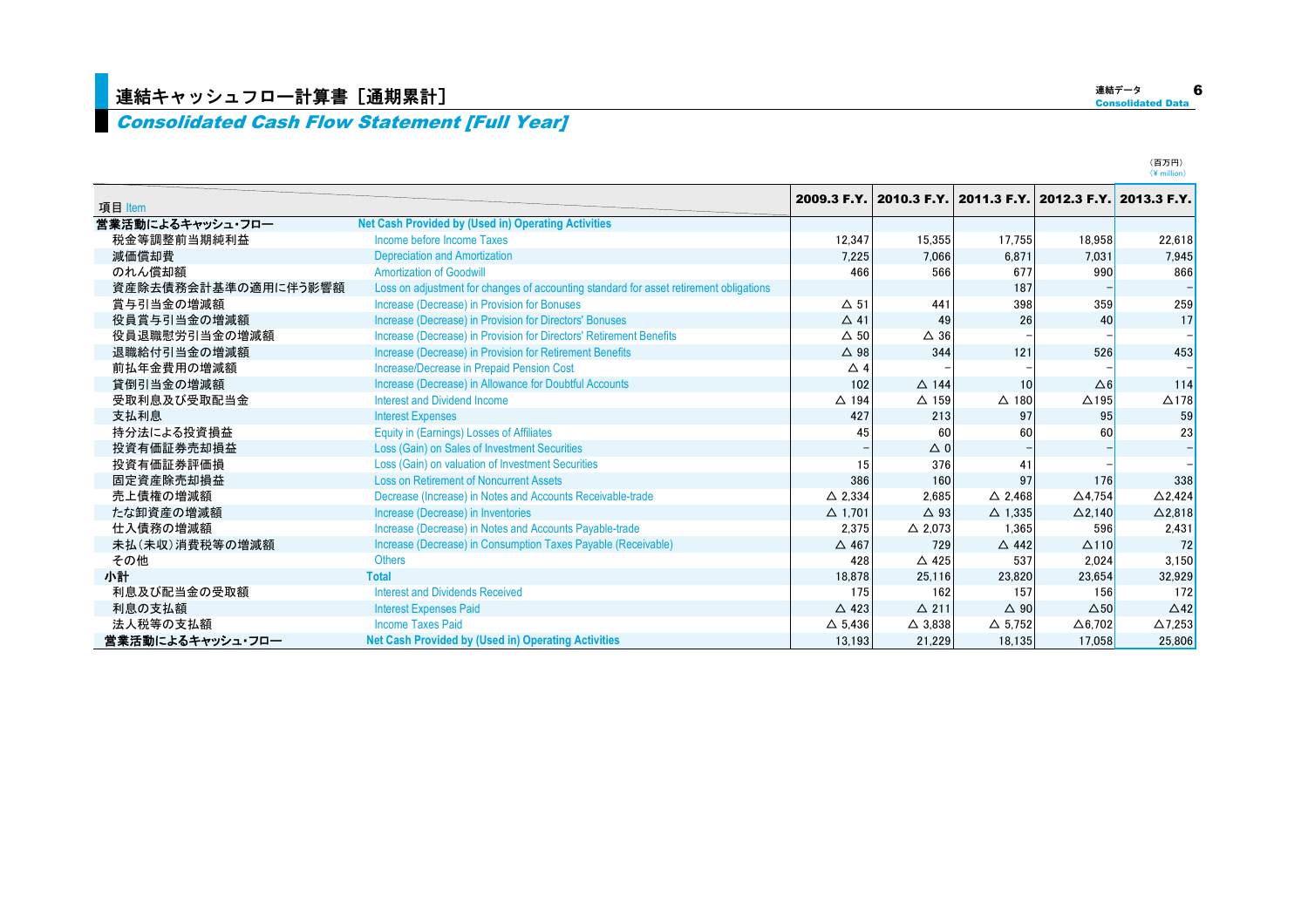#### Consolidated Cash Flow Statement [Full Year]

| 項目 Item             |                                                                                        | 2009.3 F.Y.       | 2010.3 F.Y.       |                   | 2011.3 F.Y. 2012.3 F.Y. | 2013.3 F.Y.       |
|---------------------|----------------------------------------------------------------------------------------|-------------------|-------------------|-------------------|-------------------------|-------------------|
| 営業活動によるキャッシュ・フロー    | <b>Net Cash Provided by (Used in) Operating Activities</b>                             |                   |                   |                   |                         |                   |
| 税金等調整前当期純利益         | Income before Income Taxes                                                             | 12,347            | 15,355            | 17,755            | 18.958                  | 22,618            |
| 減価償却費               | <b>Depreciation and Amortization</b>                                                   | 7,225             | 7.066             | 6.871             | 7.031                   | 7.945             |
| のれん償却額              | <b>Amortization of Goodwill</b>                                                        | 466               | 566               | 677               | 990                     | 866               |
| 資産除去債務会計基準の適用に伴う影響額 | Loss on adjustment for changes of accounting standard for asset retirement obligations |                   |                   | 187               |                         |                   |
| 賞与引当金の増減額           | Increase (Decrease) in Provision for Bonuses                                           | $\Delta$ 51       | 441               | 398               | 359                     | 259               |
| 役員賞与引当金の増減額         | Increase (Decrease) in Provision for Directors' Bonuses                                | $\Delta$ 41       | 49                | 26                | 40                      | 17                |
| 役員退職慰労引当金の増減額       | Increase (Decrease) in Provision for Directors' Retirement Benefits                    | $\Delta$ 50       | $\triangle$ 36    |                   |                         |                   |
| 退職給付引当金の増減額         | Increase (Decrease) in Provision for Retirement Benefits                               | $\triangle$ 98    | 344               | 121               | 526                     | 453               |
| 前払年金費用の増減額          | Increase/Decrease in Prepaid Pension Cost                                              | $\triangle$ 4     |                   |                   |                         |                   |
| 貸倒引当金の増減額           | Increase (Decrease) in Allowance for Doubtful Accounts                                 | 102               | $\triangle$ 144   | 10                | $\Delta 6$              | 114               |
| 受取利息及び受取配当金         | <b>Interest and Dividend Income</b>                                                    | $\triangle$ 194   | $\Delta$ 159      | $\triangle$ 180   | $\triangle$ 195         | $\Delta$ 178      |
| 支払利息                | <b>Interest Expenses</b>                                                               | 427               | 213               | 97                | 95                      | 59                |
| 持分法による投資損益          | <b>Equity in (Earnings) Losses of Affiliates</b>                                       | 45                | 60                | 60                | 60                      | 23                |
| 投資有価証券売却損益          | Loss (Gain) on Sales of Investment Securities                                          |                   | $\triangle$ 0     |                   |                         |                   |
| 投資有価証券評価損           | Loss (Gain) on valuation of Investment Securities                                      | 15                | 376               | 41                |                         |                   |
| 固定資産除売却損益           | <b>Loss on Retirement of Noncurrent Assets</b>                                         | 386               | 160               | 97                | 176                     | 338               |
| 売上債権の増減額            | Decrease (Increase) in Notes and Accounts Receivable-trade                             | $\triangle$ 2.334 | 2,685             | $\triangle$ 2.468 | $\triangle$ 4.754       | $\triangle$ 2.424 |
| たな卸資産の増減額           | Increase (Decrease) in Inventories                                                     | $\Delta$ 1.701    | $\triangle$ 93    | $\Delta$ 1.335    | $\Delta$ 2.140          | $\Delta$ 2,818    |
| 仕入債務の増減額            | Increase (Decrease) in Notes and Accounts Payable-trade                                | 2,375             | $\triangle$ 2,073 | 1,365             | 596                     | 2,431             |
| 未払(未収)消費税等の増減額      | Increase (Decrease) in Consumption Taxes Payable (Receivable)                          | $\triangle$ 467   | 729               | $\triangle$ 442   | $\Delta$ 110            | 72                |
| その他                 | <b>Others</b>                                                                          | 428               | $\triangle$ 425   | 537               | 2.024                   | 3.150             |
| 小計                  | <b>Total</b>                                                                           | 18,878            | 25,116            | 23,820            | 23.654                  | 32,929            |
| 利息及び配当金の受取額         | <b>Interest and Dividends Received</b>                                                 | 175               | 162               | 157               | 156                     | 172               |
| 利息の支払額              | <b>Interest Expenses Paid</b>                                                          | $\triangle$ 423   | $\Delta$ 211      | $\Delta$ 90       | $\triangle$ 50          | $\triangle$ 42    |
| 法人税等の支払額            | <b>Income Taxes Paid</b>                                                               | $\Delta$ 5.436    | $\triangle$ 3.838 | $\Delta$ 5.752    | $\triangle$ 6.702       | $\Delta$ 7,253    |
| 営業活動によるキャッシュ・フロー    | <b>Net Cash Provided by (Used in) Operating Activities</b>                             | 13,193            | 21.229            | 18.135            | 17.058                  | 25,806            |

(百万円) $(\frac{1}{2})$  million)

連結データ Consolidated Data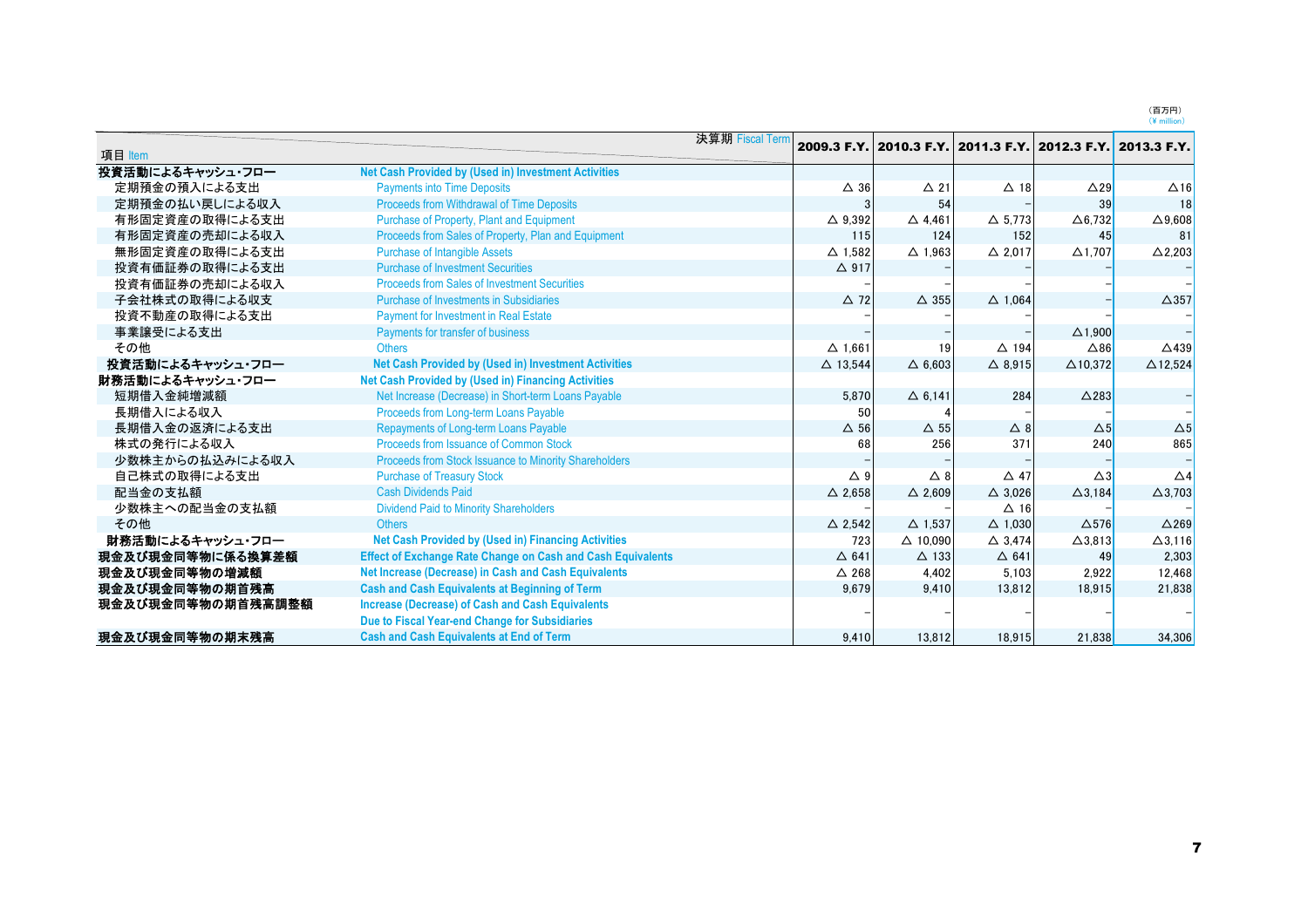(百万円)<br>(¥ million)

|                   |                                                                    | 決算期 Fiscal Term |                    |                    |                   |                                                             |                    |
|-------------------|--------------------------------------------------------------------|-----------------|--------------------|--------------------|-------------------|-------------------------------------------------------------|--------------------|
| 項目 Item           |                                                                    |                 |                    |                    |                   | 2009.3 F.Y. 2010.3 F.Y. 2011.3 F.Y. 2012.3 F.Y. 2013.3 F.Y. |                    |
| 投資活動によるキャッシュ・フロー  | <b>Net Cash Provided by (Used in) Investment Activities</b>        |                 |                    |                    |                   |                                                             |                    |
| 定期預金の預入による支出      | <b>Payments into Time Deposits</b>                                 |                 | $\Delta$ 36        | $\Delta$ 21        | $\Delta$ 18       | $\triangle$ 29                                              | $\Delta$ 16        |
| 定期預金の払い戻しによる収入    | <b>Proceeds from Withdrawal of Time Deposits</b>                   |                 |                    | 54                 |                   | 39                                                          | 18                 |
| 有形固定資産の取得による支出    | Purchase of Property, Plant and Equipment                          |                 | $\triangle$ 9.392  | $\triangle$ 4.461  | $\triangle$ 5.773 | $\Delta$ 6,732                                              | $\Delta$ 9,608     |
| 有形固定資産の売却による収入    | Proceeds from Sales of Property, Plan and Equipment                |                 | 115                | 124                | 152               | 45                                                          | 81                 |
| 無形固定資産の取得による支出    | <b>Purchase of Intangible Assets</b>                               |                 | $\Delta$ 1.582     | $\Delta$ 1.963     | $\triangle$ 2.017 | $\triangle$ 1.707                                           | $\Delta$ 2,203     |
| 投資有価証券の取得による支出    | <b>Purchase of Investment Securities</b>                           |                 | $\triangle$ 917    |                    |                   |                                                             |                    |
| 投資有価証券の売却による収入    | <b>Proceeds from Sales of Investment Securities</b>                |                 |                    |                    |                   |                                                             |                    |
| 子会社株式の取得による収支     | Purchase of Investments in Subsidiaries                            |                 | $\triangle$ 72     | $\triangle$ 355    | $\triangle$ 1.064 |                                                             | $\triangle$ 357    |
| 投資不動産の取得による支出     | <b>Payment for Investment in Real Estate</b>                       |                 |                    |                    |                   |                                                             |                    |
| 事業譲受による支出         | Payments for transfer of business                                  |                 |                    |                    |                   | $\triangle$ 1.900                                           |                    |
| その他               | <b>Others</b>                                                      |                 | $\Delta$ 1.661     | 19                 | $\triangle$ 194   | $\triangle 86$                                              | $\triangle$ 439    |
| 投資活動によるキャッシュ・フロー  | Net Cash Provided by (Used in) Investment Activities               |                 | $\triangle$ 13.544 | $\triangle$ 6.603  | $\triangle$ 8.915 | $\Delta$ 10.372                                             | $\triangle$ 12.524 |
| 財務活動によるキャッシュ・フロー  | <b>Net Cash Provided by (Used in) Financing Activities</b>         |                 |                    |                    |                   |                                                             |                    |
| 短期借入金純増減額         | Net Increase (Decrease) in Short-term Loans Payable                |                 | 5,870              | $\Delta$ 6.141     | 284               | $\triangle$ 283                                             |                    |
| 長期借入による収入         | Proceeds from Long-term Loans Payable                              |                 | 50                 |                    |                   |                                                             |                    |
| 長期借入金の返済による支出     | Repayments of Long-term Loans Payable                              |                 | $\Delta$ 56        | $\Delta$ 55        | $\triangle$ 8     | $\Delta$ 5                                                  | $\Delta 5$         |
| 株式の発行による収入        | Proceeds from Issuance of Common Stock                             |                 | 68                 | 256                | 371               | 240                                                         | 865                |
| 少数株主からの払込みによる収入   | Proceeds from Stock Issuance to Minority Shareholders              |                 |                    |                    |                   |                                                             |                    |
| 自己株式の取得による支出      | <b>Purchase of Treasury Stock</b>                                  |                 | $\triangle$ 9      | $\triangle$ 8      | $\triangle$ 47    | $\triangle 3$                                               | $\triangle$ 4      |
| 配当金の支払額           | <b>Cash Dividends Paid</b>                                         |                 | $\triangle$ 2.658  | $\triangle$ 2.609  | $\triangle$ 3,026 | $\Delta$ 3,184                                              | $\Delta$ 3,703     |
| 少数株主への配当金の支払額     | <b>Dividend Paid to Minority Shareholders</b>                      |                 |                    |                    | $\Delta$ 16       |                                                             |                    |
| その他               | <b>Others</b>                                                      |                 | $\triangle$ 2.542  | $\Delta$ 1.537     | $\triangle$ 1.030 | $\Delta$ 576                                                | $\triangle$ 269    |
| 財務活動によるキャッシュ・フロー  | <b>Net Cash Provided by (Used in) Financing Activities</b>         |                 | 723                | $\triangle$ 10.090 | $\triangle$ 3.474 | $\Delta$ 3,813                                              | $\Delta$ 3,116     |
| 現金及び現金同等物に係る換算差額  | <b>Effect of Exchange Rate Change on Cash and Cash Equivalents</b> |                 | $\Delta$ 641       | $\Delta$ 133       | $\triangle$ 641   | 49                                                          | 2,303              |
| 現金及び現金同等物の増減額     | Net Increase (Decrease) in Cash and Cash Equivalents               |                 | $\triangle$ 268    | 4.402              | 5.103             | 2.922                                                       | 12,468             |
| 現金及び現金同等物の期首残高    | <b>Cash and Cash Equivalents at Beginning of Term</b>              |                 | 9.679              | 9.410              | 13.812            | 18.915                                                      | 21.838             |
| 現金及び現金同等物の期首残高調整額 | <b>Increase (Decrease) of Cash and Cash Equivalents</b>            |                 |                    |                    |                   |                                                             |                    |
|                   | Due to Fiscal Year-end Change for Subsidiaries                     |                 |                    |                    |                   |                                                             |                    |
| 現金及び現金同等物の期末残高    | <b>Cash and Cash Equivalents at End of Term</b>                    |                 | 9.410              | 13.812             | 18.915            | 21.838                                                      | 34,306             |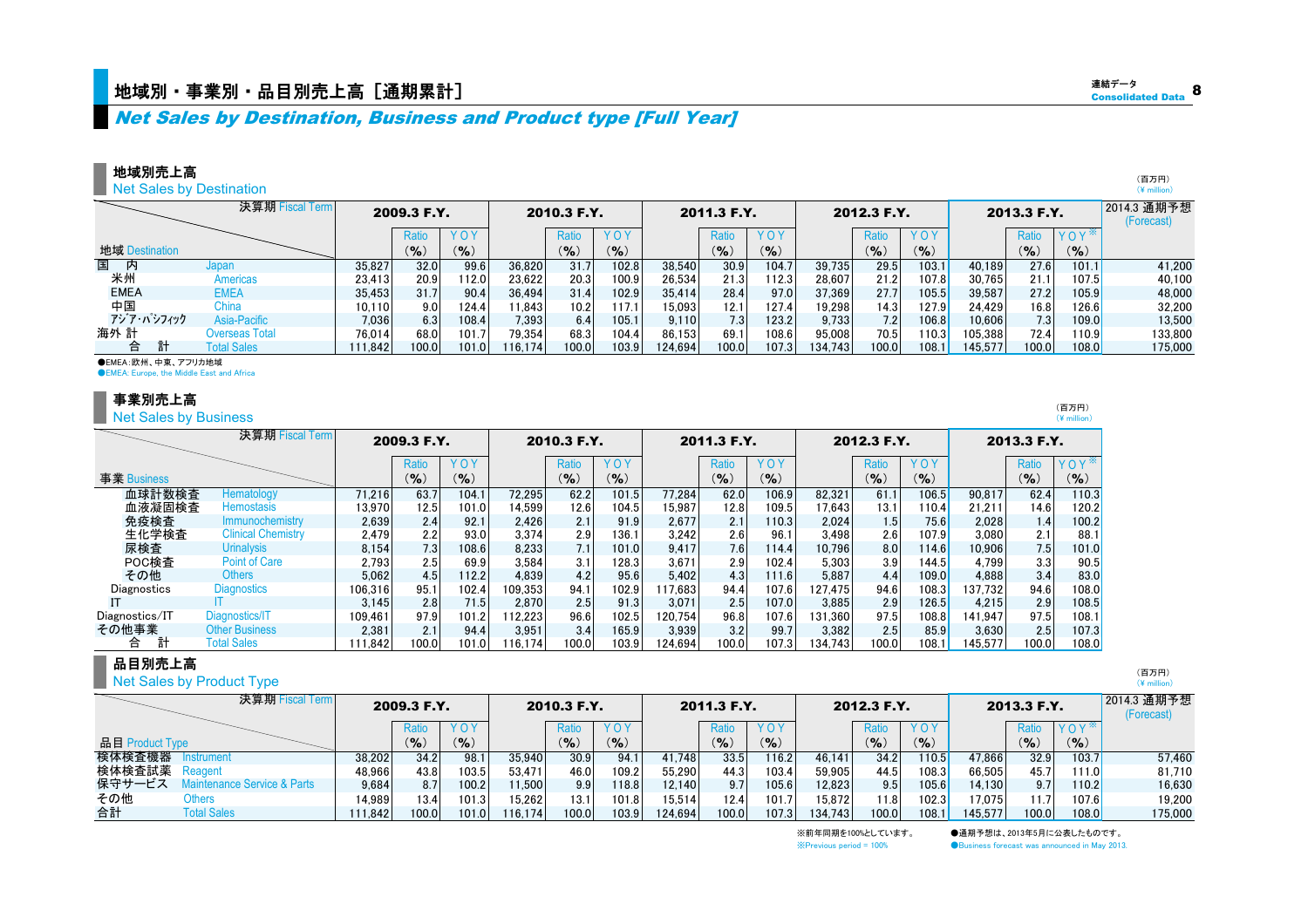Net Sales by Destination, Business and Product type [Full Year]

**Net Sales by Destination** 

|                | 決算期 Fiscal Term    |        | 2009.3 F.Y. |           |         | 2010.3 F.Y. |       |         | 2011.3 F.Y.      |        |        | 2012.3 F.Y. |           |         | 2013.3 F.Y. |                  | 2014.3 通期予想<br>(Forecast) |
|----------------|--------------------|--------|-------------|-----------|---------|-------------|-------|---------|------------------|--------|--------|-------------|-----------|---------|-------------|------------------|---------------------------|
|                |                    |        | Ratio       |           |         | Ratio       | YOY   |         | Ratio            | YOY    |        | Rati        | YOY       |         | Ratio       | YOY <sup>*</sup> |                           |
| 地域 Destination |                    |        | (9/6)       | $(9)_{0}$ |         | (9)         | (%)   |         | (9/6)            | $($ %) |        | (9)         | $(9)_{0}$ |         | (9/6)       | $(9)_{0}$        |                           |
| 国<br>内         | Japan              | 35,827 | 32.0        | 99.6      | 36,820  | 31.7        | 102.8 | 38,540  | 30.9             | 104.7  | 39,735 | 29.5        | 103.1     | 40.189  | 27.6        | 101.1            | 41.200                    |
| 米州             | Americas           | 23,413 | 20.9        | 112.0     | 23.622  | 20.3        | 100.9 | 26.534  | 21.3             | 112.3  | 28.607 | 21.2        | 107.8     | 30.765  | 21.1        | 107.5            | 40.100                    |
| <b>EMEA</b>    | <b>EMEA</b>        | 35,453 | 31.7        | 90.4      | 36.494  | 31.4        | 102.9 | 35,414  | 28.4             | 97.0   | 37,369 | 27.7        | 105.5     | 39,587  | 27.2        | 105.9            | 48,000                    |
| 中国             | China              | 10,110 | 9.0         | 124.4     | 1.843   | 10.2        | 117.1 | 15.093  | 12.1             | 127.4  | 19,298 | 14.3        | 127.9     | 24,429  | 16.8        | 26.6             | 32,200                    |
| アジア・パシフィック     | Asia-Pacific       | 7.036  | 6.3         | 108.4     | 7,393   | 6.4         | 105.1 | 9.110   | 7.3 <sub>1</sub> | 123.2  | 9.733  | 7.2         | 106.8     | 10.606  | 7.3         | 109.0l           | 13.500                    |
| 海外 計           | Overseas Total     | 76.014 | 68.0        | 101.7     | 79.354  | 68.3        | 104.4 | 86.153  | 69.1             | 108.6  | 95.008 | 70.5        | 110.3     | 105.388 | 72.4        | 10.9             | 133.800                   |
| 合              | <b>Total Sales</b> | 11.842 | 00.0        | 101.0     | 116.174 | 100.0       | 103.9 | 124.694 | 00.0             | 107.3  | 34.743 | 100.0       | 108.1     | 145.577 | 100.0       | 108.0            | 175,000                   |

●EMEA:欧州、中東、アフリカ地域

**OEMEA: Europe, the Middle East and Africa** 

#### 事業別売上高

Net Sales by Business

|                | 決算期 Fiscal Term           |         | 2009.3 F.Y. |       |         | 2010.3 F.Y. |           |         | 2011.3 F.Y.     |           |         | 2012.3 F.Y. |        |         | 2013.3 F.Y. |                  |
|----------------|---------------------------|---------|-------------|-------|---------|-------------|-----------|---------|-----------------|-----------|---------|-------------|--------|---------|-------------|------------------|
|                |                           |         | Ratio       | YOY   |         | Ratio       | YOY       |         | Ratio           | YOY       |         | Ratio       | YOY    |         | Ratio       | YOY <sup>*</sup> |
| 事業 Business    |                           |         | $($ % $)$   | (9/6) |         | $($ % $)$   | $($ % $)$ |         | $\mathcal{O}_0$ | $(9)_{0}$ |         | (9)         | (9/6)  |         | $(9)_{0}$   | $(9)_{0}$        |
| 血球計数検査         | Hematology                | 71.216  | 63.7        | 104.1 | 72.295  | 62.2        | 101.5     | 77.284  | 62.0            | 106.9     | 82.321  | 61.1        | 106.5  | 90.817  | 62.4        | 110.3            |
| 血液凝固検査         | <b>Hemostasis</b>         | 13.970  | 12.5        | 101.0 | 14.599  | 12.6        | 104.5     | 15.987  | 12.8            | 109.5     | 17.643  | 13.1        | 110.4  | 21.211  | 14.6        | 120.2            |
| 免疫検査           | Immunochemistry           | 2.639   | 2.4         | 92.1  | 2.426   | 2.1         | 91.9      | 2.677   | 2.1             | 10.3      | 2.024   | 1.5         | 75.6   | 2.028   | 1.4         | 100.2            |
| 生化学検査          | <b>Clinical Chemistry</b> | 2.479   | 2.2         | 93.0  | 3.374   | 2.9         | 136.1     | 3.242   | 2.6             | 96.1      | 3.498   | 2.6         | 107.9  | 3.080   | 2.1         | 88.1             |
| 尿検査            | <b>Urinalysis</b>         | 8.154   | 7.3         | 108.6 | 8.233   | 7.1         | 101.0     | 9.417   | 7.6             | 114.4     | 10.796  | 8.0         | 114.6  | 10.906  | 7.5         | 101.0            |
| POC検査          | <b>Point of Care</b>      | 2.793   | 2.5         | 69.9  | 3.584   | 3.1         | 128.3     | 3.671   | 2.9             | 102.4     | 5.303   | 3.9         | 144.5I | 4.799   | 3.3         | 90.5             |
| その他            | <b>Others</b>             | 5.062   | 4.5         | 112.2 | 4.839   | 4.2         | 95.6      | 5.402   | 4.3             | 111.6     | 5.887   | 4.4         | 109.0  | 4.888   | 3.4         | 83.0             |
| Diagnostics    | <b>Diagnostics</b>        | 106.316 | 95.1        | 102.4 | 109.353 | 94.1        | 102.9     | 17.683  | 94.4            | 107.6     | 127.475 | 94.6        | 108.3  | 137.732 | 94.6        | 108.0            |
|                |                           | 3.145   | 2.8         | 71.5  | 2.870   | 2.5         | 91.3      | 3.071   | 2.5             | 107.0     | 3.885   | 2.9         | 126.5  | 4.215   | 2.9         | 108.5            |
| Diagnostics/IT | Diagnostics/IT            | 109.461 | 97.9        | 101.2 | 112.223 | 96.6        | 102.5     | 120.754 | 96.8            | 107.6     | 131.360 | 97.5        | 108.8  | 141.947 | 97.5        | 108.1            |
| その他事業          | <b>Other Business</b>     | 2.381   | 2.1         | 94.4  | 3.951   | 3.4         | 165.9     | 3.939   | 3.2             | 99.7      | 3.382   | 2.5         | 85.9   | 3.630   | 2.5         | 107.3            |
| 合              | <b>Total Sales</b>        | 111.842 | 100.0       | 101.0 | 116.174 | 100.0       | 103.9     | 124.694 | 100.0           | 107.3     | 134.743 | 100.0       | 108.1  | 145.577 | 100.0       | 108.0            |

#### 品目別売上高

|  |  |  | <b>Net Sales by Product Type</b> |
|--|--|--|----------------------------------|
|  |  |  |                                  |

|                 | 決算期 Fiscal Term         |        | 2009.3 F.Y.   |            |        | 2010.3 F.Y. |            |         | 2011.3 F.Y. |           |        | 2012.3 F.Y. |           |         | 2013.3 F.Y. |                      | 2014.3 通期予想<br>(Forecast) |
|-----------------|-------------------------|--------|---------------|------------|--------|-------------|------------|---------|-------------|-----------|--------|-------------|-----------|---------|-------------|----------------------|---------------------------|
|                 |                         |        | Ratio         | <b>YOY</b> |        | Ratio       | <b>YOY</b> |         | Ratio       | YOY       |        | Rati        | YOY       |         | Ratio       | YOY <sup>*</sup>     |                           |
| 品目 Product Type |                         |        | $\frac{9}{6}$ | $(9)_{0}$  |        | (%          | $(9)_{0}$  |         | (9)         | $($ % $)$ |        | $(9)_{0}$   | $(9)_{0}$ |         | (%          | $(9)_{0}$            |                           |
| 検体検査機器          | Instrument              | 38.202 | 34.2          | 98.        | 35.940 | 30.9        | 94.1       | 41.748  | 33.5        | 116.2     | 46.141 | 34.2        | 110.5     | 47.866  | 32.9        | 103.7.               | 57.460                    |
| 検体検査試薬          | Reagent                 | 48.966 | 43.8          | 103.5      | 53.471 | 46.0        | 109.2      | 55.290  | 44.3        | 103.4     | 59.905 | 44.5        | 108.3     | 66,505  | 45.7        | 111.0 <mark>1</mark> | 81,710                    |
| 保守サービス          | tenance Service & Parts | 9.684  | 8.7           | 100.2      | 1.500  | 9.9         | 118.8      | 12.140  |             | 105.6     | 12.823 | 9.51        | 105.6     | 14.130  | 9.7         | 110.2 $ $            | 16.630                    |
| その他             | Others                  | 4.989  | 13.4          | 101.3      | 15.262 | 13.1        | 101.8      | 15.514  | 12.4        | 101.7     | 15.872 | 11.8        | 102.3     | 17.075  | 11.7        | 107.6                | 19.200                    |
| 合計              | <b>Total Sales</b>      | 11.842 | 100.0         | 101.C      | 16.174 | 100.0       | 103.9      | 124.694 | 100.0       | 107.3     | 34.743 | 0.00        | 108.1     | 145.577 | 100.0       | 108.0                | 175,000                   |

※前年同期を100%としています。 ●通期予想は、2013年5月に公表したものです。<br>※Previous period = 100% ● ●Business forecast was announced in May 201 **Business forecast was announced in May 2013.** 

(百万円) $(\frac{1}{2})$  million)

連結データ**Consolidated Data** 

> (百万円) (\ million)

8

(百万円) (\ million)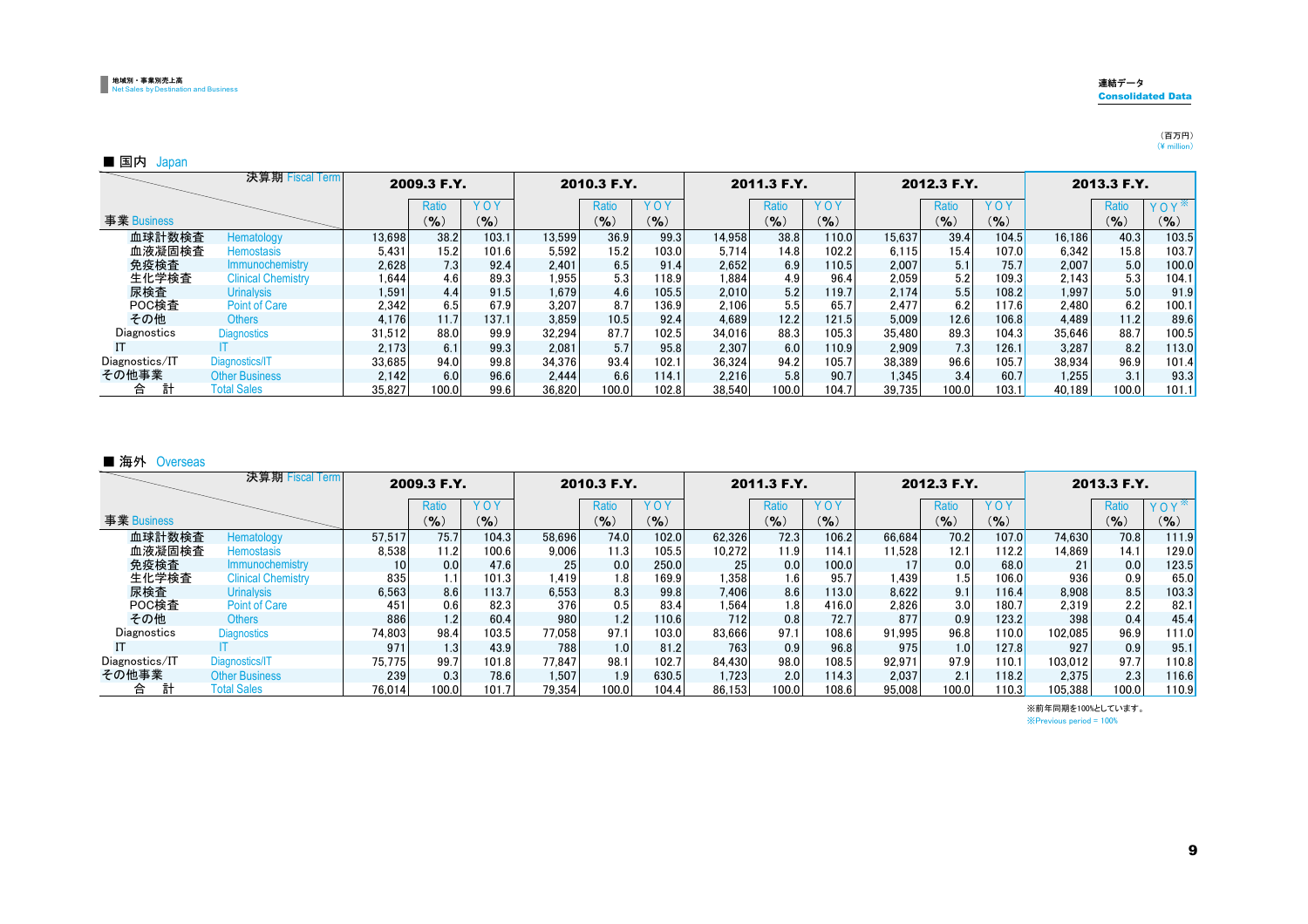#### 連結データConsolidated Data

### (百万円)<br>(¥ million)

#### ■ 国内 Japan

|                | 決算期 Fiscal Term           |        | 2009.3 F.Y.      |       |        | 2010.3 F.Y. |        |        | 2011.3 F.Y. |            |        | 2012.3 F.Y. |       |        | 2013.3 F.Y. |           |
|----------------|---------------------------|--------|------------------|-------|--------|-------------|--------|--------|-------------|------------|--------|-------------|-------|--------|-------------|-----------|
|                |                           |        | Ratio            | YOY   |        | Ratio       | YOY    |        | Ratio       | <b>YOY</b> |        | Ratio       | YOY   |        | Ratio       | YOY       |
| 事業 Business    |                           |        | $(9)_{0}$        | (9/6) |        | $($ % $)$   | $($ %) |        | $($ % $)$   | $(9)_{0}$  |        | (%)         | (9/6) |        | $($ % $)$   | $(9)_{0}$ |
| 血球計数検査         | Hematology                | 13,698 | 38.2             | 103.1 | 13.599 | 36.9        | 99.3   | 14.958 | 38.81       | 110.0      | 15.637 | 39.4        | 104.5 | 16.186 | 40.3        | 103.5     |
| 血液凝固検査         | Hemostasis                | 5.431  | 15.2             | 101.6 | 5.592  | 15.2        | 103.0  | 5.714  | 14.8        | 102.2      | 6.115  | 15.4        | 107.0 | 6,342  | 15.8        | 103.7     |
| 免疫検査           | Immunochemistry           | 2.628  | 7.3 <sub>1</sub> | 92.4  | 2,401  | 6.5         | 91.4   | 2.652  | 6.9         | 110.5      | 2.007  | 5.1         | 75.7  | 2,007  | 5.0         | 100.0     |
| 生化学検査          | <b>Clinical Chemistry</b> | 1.644  | 4.6              | 89.3  | 1,955  | 5.3         | 118.9  | 1.884  | 4.9         | 96.4       | 2.059  | 5.2         | 109.3 | 2,143  | 5.3         | 104.1     |
| 尿検査            | <b>Urinalysis</b>         | 1.591  | 4.4              | 91.5  | 1.679  | 4.6         | 105.5  | 2.010  | 5.2         | 119.7      | 2.174  | 5.5         | 108.2 | 1.997  | 5.0         | 91.9      |
| POC検査          | <b>Point of Care</b>      | 2.342  | 6.5              | 67.9  | 3.207  | 8.7         | 136.9  | 2.106  | 5.5         | 65.7       | 2.477  | 6.2         | 117.6 | 2.480  | 6.2         | 100.1     |
| その他            | <b>Others</b>             | 4.176  | 11.7             | 137.1 | 3.859  | 10.5        | 92.4   | 4.689  | 12.2        | 121.5      | 5.009  | 12.6        | 106.8 | 4.489  | 11.2        | 89.6      |
| Diagnostics    | <b>Diagnostics</b>        | 31,512 | 88.0             | 99.9  | 32,294 | 87.7        | 102.5  | 34,016 | 88.3        | 105.3      | 35,480 | 89.3        | 104.3 | 35,646 | 88.7        | 100.5     |
|                |                           | 2.173  | 6.1              | 99.3  | 2.081  | 5.7         | 95.8   | 2.307  | 6.0         | 110.9      | 2.909  | 7.3         | 126.1 | 3.287  | 8.2         | 113.0     |
| Diagnostics/IT | Diagnostics/IT            | 33.685 | 94.0             | 99.8  | 34.376 | 93.4        | 102.1  | 36.324 | 94.2        | 105.7      | 38.389 | 96.6        | 105.7 | 38.934 | 96.9        | 101.4     |
| その他事業          | <b>Other Business</b>     | 2.142  | 6.0              | 96.6  | 2.444  | 6.6         | 114.1  | 2,216  | 5.8         | 90.7       | 1.345  | 3.4         | 60.7  | 1,255  | 3.1         | 93.3      |
| 計<br>合         | <b>Total Sales</b>        | 35.827 | 100.0            | 99.6  | 36.820 | 100.0       | 102.8  | 38.540 | 100.0       | 104.7      | 39.735 | 100.0       | 103.1 | 40.189 | 100.0       | 101.1     |

#### ■ 海外 Overseas

|                | 決算期 Fiscal Term           |                 | 2009.3 F.Y.        |           |        | 2010.3 F.Y. |       |        | 2011.3 F.Y. |            |        | 2012.3 F.Y. |                      |         | 2013.3 F.Y. |       |
|----------------|---------------------------|-----------------|--------------------|-----------|--------|-------------|-------|--------|-------------|------------|--------|-------------|----------------------|---------|-------------|-------|
|                |                           |                 | Ratio              | YOY       |        | Ratio       | YOY   |        | Ratio       | <b>YOY</b> |        | Ratio       | YOY                  |         | Ratio       | YOY   |
| 事業 Business    |                           |                 | $($ % $)$          | $($ % $)$ |        | $(9)_{0}$   | (9/6) |        | $(9)_{0}$   | $(9)_{0}$  |        | $(9)_{0}$   | (%)                  |         | $(9)_{0}$   | (9/6) |
| 血球計数検査         | Hematology                | 57.517          | 75.7               | 104.3     | 58.696 | 74.0        | 102.0 | 62.326 | 72.3        | 106.2      | 66.684 | 70.2        | 107.0                | 74.630  | 70.8        | 111.9 |
| 血液凝固検査         | Hemostasis                | 8.538           | 11.2               | 100.6     | 9.006  | 11.3        | 105.5 | 10.272 | 11.9        | 114.1      | 11.528 | 12.1        | 112.2                | 14.869  | 14.1        | 129.0 |
| 免疫検査           | Immunochemistry           | 10 <sup>1</sup> | 0.0                | 47.6      | 25     | 0.0         | 250.0 | 25     | 0.0         | 100.0      |        | 0.0         | 68.0                 |         | 0.0         | 123.5 |
| 生化学検査          | <b>Clinical Chemistry</b> | 835             | $1.1$ <sup>1</sup> | 101.3     | 1,419  | 1.8         | 169.9 | 1,358  |             | 95.7       | 1.439  | 1.5         | 106.0I               | 936     | 0.9         | 65.0  |
| 尿検査            | <b>Urinalysis</b>         | 6.563           | 8.6                | 113.7     | 6.553  | 8.3         | 99.8  | 7.406  | 8.6         | 113.0      | 8.622  | 9.1         | 116.4                | 8,908   | 8.5         | 103.3 |
| POC検査          | <b>Point of Care</b>      | 451             | 0.6                | 82.3      | 376    | 0.5         | 83.4  | 1,564  |             | 416.0      | 2.826  | 3.0         | 180.7                | 2,319   | 2.2         | 82.1  |
| その他            | <b>Others</b>             | 886             | 1.2                | 60.4      | 980    | 1.2         | 110.6 | 712    | 0.8         | 72.7       | 877    | 0.9         | 123.2                | 398     | 0.4         | 45.4  |
| Diagnostics    | <b>Diagnostics</b>        | 74,803          | 98.4               | 103.5     | 77,058 | 97.1        | 103.0 | 83,666 | 97.1        | 108.6      | 91,995 | 96.8        | 110.0 <mark>1</mark> | 102.085 | 96.9        | 111.0 |
|                |                           | 971             | 1.3 <sub>1</sub>   | 43.9      | 788    | 1.0         | 81.2  | 763    | 0.9         | 96.8       | 975    | 1.0         | 127.8                | 927     | 0.9         | 95.1  |
| Diagnostics/IT | Diagnostics/IT            | 75.775          | 99.7               | 101.8     | 77.847 | 98.1        | 102.7 | 84.430 | 98.0        | 108.5      | 92.971 | 97.9        | 110.1                | 103.012 | 97.7        | 110.8 |
| その他事業          | <b>Other Business</b>     | 239             | 0.3                | 78.6      | 1.507  | 1.9         | 630.5 | 1.723  | 2.0         | 114.3      | 2.037  | 2.1         | 118.2                | 2.375   | 2.3         | 116.6 |
| 合              | <b>Total Sales</b>        | 76.014          | 100.0              | 101.7     | 79.354 | 100.0       | 104.4 | 86.153 | 100.0       | 108.6      | 95.008 | 100.0       | 110.3l               | 105,388 | 100.0       | 110.9 |

※Previous period = 100% ※前年同期を100%としています。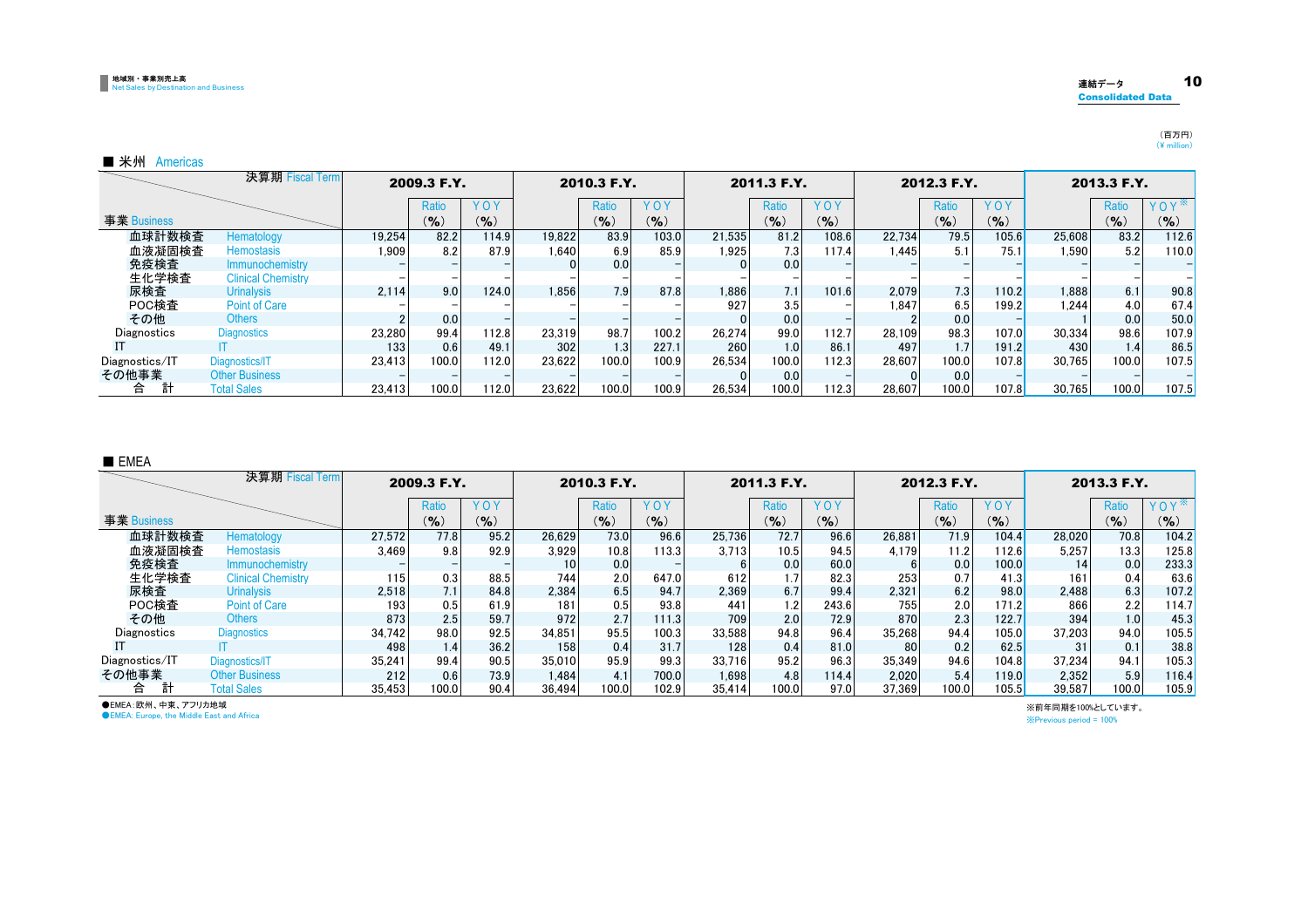#### 地域別・事業別売上高 Net Sales by Destination and Business

#### 連結データ 10 Consolidated Data

(百万円)<br>(¥ million)

#### ■ 米州 Americas

|                | 決算期 Fiscal Term           |        | 2009.3 F.Y. |       |        | 2010.3 F.Y.      |       |        | 2011.3 F.Y.      |           |        | 2012.3 F.Y. |            |        | 2013.3 F.Y.      |                  |
|----------------|---------------------------|--------|-------------|-------|--------|------------------|-------|--------|------------------|-----------|--------|-------------|------------|--------|------------------|------------------|
|                |                           |        | Ratio       | YOY   |        | Ratio            | YOY   |        | Ratio            | YOY       |        | Ratio       | <b>YOY</b> |        | Ratio            | YOY <sup>*</sup> |
| 事業 Business    |                           |        | $($ % $)$   | (9/6) |        | (9/6)            | (9/6) |        | $(9)_{0}$        | $($ % $)$ |        | $(9)_{0}$   | $($ % $)$  |        | $($ %)           | $($ %)           |
| 血球計数検査         | Hematology                | 19.254 | 82.2        | 114.9 | 19.822 | 83.9             | 103.0 | 21.535 | 81.2             | 108.6     | 22.734 | 79.5        | 105.6      | 25,608 | 83.2             | 112.6            |
| 血液凝固検査         | <b>Hemostasis</b>         | 1,909  | 8.2         | 87.9  | 1.640  | 6.9              | 85.9  | 1.925  | 7.3              | 117.4     | 1.445  | 5.1         | 75.1       | 1.590  | 5.2              | 110.0            |
| 免疫検査           | Immunochemistry           |        |             |       |        | 0.0              |       |        | 0.0              |           |        |             |            |        |                  |                  |
| 生化学検査          | <b>Clinical Chemistry</b> |        |             |       |        |                  |       |        |                  |           |        |             |            |        |                  |                  |
| 尿検査            | <b>Urinalysis</b>         | 2.114  | 9.0         | 124.0 | 1.856  | 7.9              | 87.8  | 1,886  | 7.1              | 101.6     | 2.079  | 7.3         | 110.2      | 1.888  | 6.1              | 90.8             |
| POC検査          | <b>Point of Care</b>      |        |             |       |        |                  |       | 927    | 3.51             |           | 1.847  | 6.5         | 199.2      | 1.244  | 4.0              | 67.4             |
| その他            | <b>Others</b>             |        | 0.0         |       |        |                  |       |        | 0.0              |           |        | 0.0         |            |        | 0.0              | 50.0             |
| Diagnostics    | <b>Diagnostics</b>        | 23,280 | 99.4        | 112.8 | 23,319 | 98.7             | 100.2 | 26.274 | 99.0             | 112.7     | 28.109 | 98.3        | 107.0      | 30,334 | 98.6             | 107.9            |
|                |                           | 133    | 0.6         | 49.1  | 302    | 1.3 <sub>1</sub> | 227.1 | 260    | 1.0 <sub>1</sub> | 86.1      | 497    | 1.7         | 191.2      | 430    | 1.4 <sub>1</sub> | 86.5             |
| Diagnostics/IT | Diagnostics/IT            | 23.413 | 100.0       | 112.0 | 23.622 | 100.0            | 100.9 | 26.534 | 100.0            | 112.3     | 28.607 | 100.0       | 107.8      | 30.765 | 100.0            | 107.5            |
| その他事業          | <b>Other Business</b>     |        |             |       |        |                  |       |        | 0.0              |           |        | 0.0         |            |        |                  |                  |
| 計<br>合         | <b>Total Sales</b>        | 23.413 | 100.0       | 12.0  | 23.622 | 100.0            | 100.9 | 26.534 | 100.0            | 12.3      | 28.607 | 100.0       | 107.8      | 30.765 | 100.0            | 107.5            |

#### ■ EMEA

|                | 決算期 Fiscal Term           |        | 2009.3 F.Y.      |      |                  | 2010.3 F.Y. |       |        | 2011.3 F.Y. |           |        | 2012.3 F.Y. |       |        | 2013.3 F.Y. |            |
|----------------|---------------------------|--------|------------------|------|------------------|-------------|-------|--------|-------------|-----------|--------|-------------|-------|--------|-------------|------------|
|                |                           |        | Ratio            | YOY  |                  | Ratio       | YOY   |        | Ratio       | YOY       |        | Ratio       | YOY   |        | Ratio       | <b>YOY</b> |
| 事業 Business    |                           |        | (%)              | (9)  |                  | $($ % $)$   | (9/6) |        | $($ % $)$   | $(9)_{0}$ |        | $($ % $)$   | (9/6) |        | $($ % $)$   | $(9)_{0}$  |
| 血球計数検査         | Hematology                | 27.572 | 77.8             | 95.2 | 26.629           | 73.0        | 96.6  | 25.736 | 72.7        | 96.6      | 26.881 | 71.9        | 104.4 | 28.020 | 70.8        | 104.2      |
| 血液凝固検査         | <b>Hemostasis</b>         | 3.469  | 9.8              | 92.9 | 3.929            | 10.8        | 113.3 | 3.713  | 10.5        | 94.5      | 4.179  | 11.2        | 112.6 | 5.257  | 13.3        | 125.8      |
| 免疫検査           | Immunochemistry           |        |                  |      | 10 <sub>1</sub>  | 0.0         |       |        | 0.0         | 60.0      |        | 0.0         | 100.0 | 14     | 0.0         | 233.3      |
| 生化学検査          | <b>Clinical Chemistry</b> | 115    | 0.3              | 88.5 | 744              | 2.0         | 647.0 | 612    |             | 82.3      | 253    | 0.7         | 41.3  | 161    | 0.4         | 63.6       |
| 尿検査            | <b>Urinalysis</b>         | 2.518  | 7.1              | 84.8 | 2.384            | 6.5         | 94.7  | 2.369  | 6.7         | 99.4      | 2.321  | 6.2         | 98.0  | 2.488  | 6.3         | 107.2      |
| POC検査          | <b>Point of Care</b>      | 193    | 0.5              | 61.9 | 181              | 0.5         | 93.8  | 441    | 1.2         | 243.6     | 755    | 2.0         | 171.2 | 866    | 2.2         | 114.7      |
| その他            | <b>Others</b>             | 873    | 2.5              | 59.7 | 972              | 2.7         | 111.3 | 709    | 2.0         | 72.9      | 870    | 2.3         | 122.7 | 394    | 1.0         | 45.3       |
| Diagnostics    | <b>Diagnostics</b>        | 34.742 | 98.0             | 92.5 | 34.851           | 95.5        | 100.3 | 33.588 | 94.8        | 96.4      | 35.268 | 94.4        | 105.0 | 37.203 | 94.0        | 105.5      |
|                |                           | 498    | 1.4 <sub>1</sub> | 36.2 | 158 <sub>1</sub> | 0.4         | 31.7  | 128    | 0.4         | 81.0      | 80     | 0.2         | 62.5  | 31     | 0.1         | 38.8       |
| Diagnostics/IT | Diagnostics/IT            | 35.241 | 99.4             | 90.5 | 35.010           | 95.9        | 99.3  | 33.716 | 95.2        | 96.3      | 35.349 | 94.6        | 104.8 | 37.234 | 94.1        | 105.3      |
| その他事業          | <b>Other Business</b>     | 212    | 0.6              | 73.9 | 1.484            | 4.1         | 700.0 | 1.698  | 4.8         | 114.4     | 2.020  | 5.4         | 119.0 | 2,352  | 5.9         | 116.4      |
| 計<br>合         | <b>Total Sales</b>        | 35.453 | 100.0            | 90.4 | 36.494           | 100.0       | 102.9 | 35.414 | 100.0       | 97.0      | 37.369 | 100.0       | 105.5 | 39.587 | 100.0       | 105.9      |

●EMEA:欧州、中東、アフリカ地域

**OEMEA: Europe, the Middle East and Africa** 

※前年同期を100%としています。

※Previous period = 100%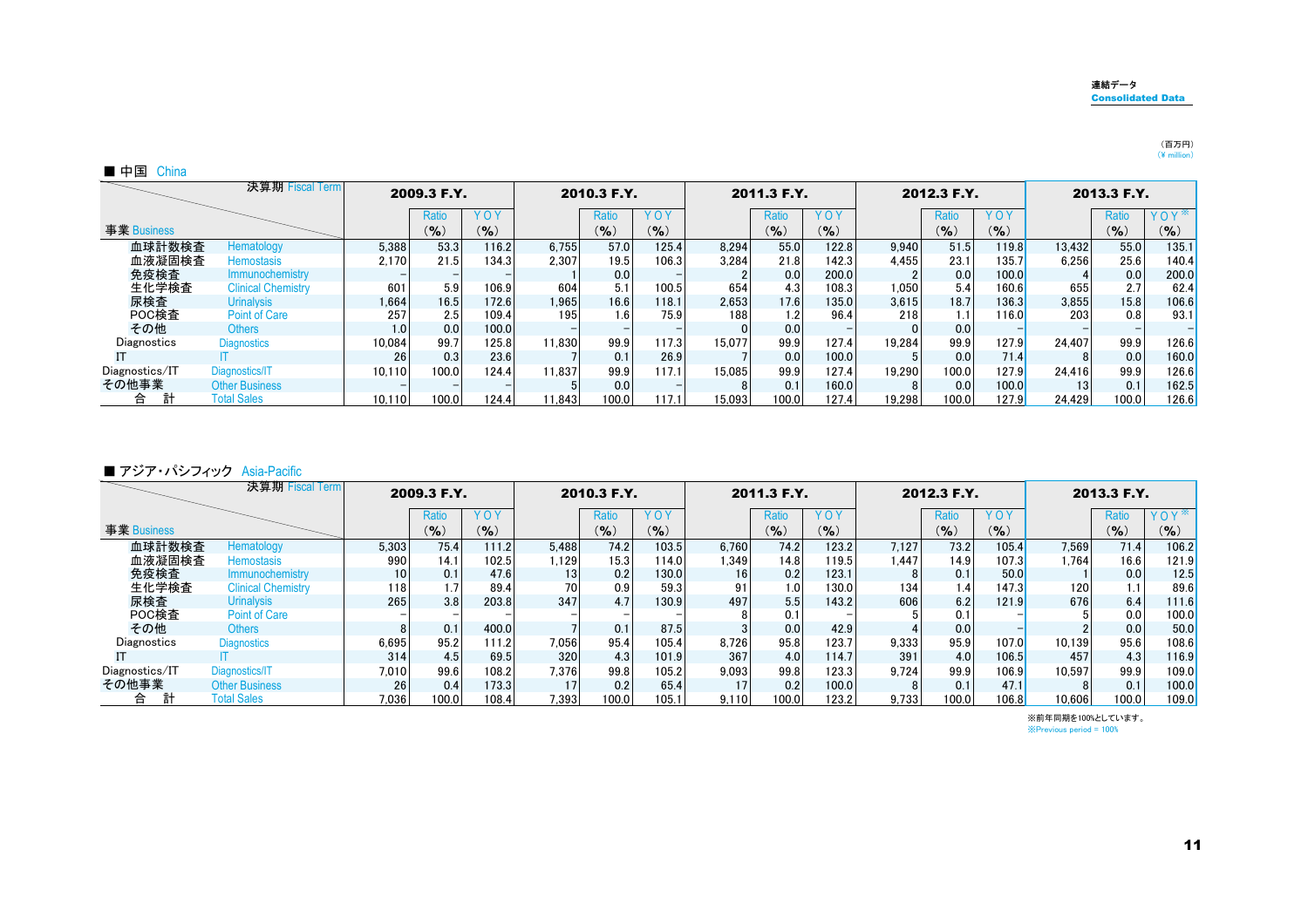#### 連結データConsolidated Data

#### (百万円)<br>(¥ million)

| ᇜᆒ | าล<br>ш |
|----|---------|
|----|---------|

| 決算期 Fiscal Term |                           | 2009.3 F.Y. |       |           | 2010.3 F.Y.      |           | 2011.3 F.Y. |        | 2012.3 F.Y. |            |        | 2013.3 F.Y.      |           |                 |              |                  |
|-----------------|---------------------------|-------------|-------|-----------|------------------|-----------|-------------|--------|-------------|------------|--------|------------------|-----------|-----------------|--------------|------------------|
|                 |                           |             | Ratio | YOY       |                  | Ratio     | YOY         |        | Ratio       | <b>YOY</b> |        | Ratio            | YOY       |                 | <b>Ratio</b> | YOY <sup>*</sup> |
| 事業 Business     |                           |             | (9/6) | $(9)_{0}$ |                  | $(9)_{0}$ | $(9)_{0}$   |        | $($ % $)$   | $(9)_{0}$  |        | $(9)_{0}$        | $($ % $)$ |                 | $(9)_{0}$    | $(\% )$          |
| 血球計数検査          | Hematology                | 5,388       | 53.3  | 116.2     | 6.755            | 57.0      | 125.4       | 8,294  | 55.0        | 122.8      | 9.940  | 51.5             | 119.8     | 13.432          | 55.0         | 135.1            |
| 血液凝固検査          | <b>Hemostasis</b>         | 2.170       | 21.5  | 134.3     | 2.307            | 19.5      | 106.3       | 3.284  | 21.8        | 142.3      | 4.455  | 23.1             | 135.7     | 6.256           | 25.6         | 140.4            |
| 免疫検査            | Immunochemistry           |             |       |           |                  | 0.0       |             |        | 0.0         | 200.0      |        | 0.0              | 100.0     |                 | 0.0          | 200.0            |
| 生化学検査           | <b>Clinical Chemistry</b> | 601         | 5.9   | 106.9     | 604              | 5.1       | 100.5       | 654    | 4.3         | 108.3      | 1.050  | 5.4              | 160.6     | 655             | 2.7          | 62.4             |
| 尿検査             | <b>Urinalysis</b>         | 1.664       | 16.5  | 172.6     | 1,965            | 16.6      | 118.1       | 2,653  | 17.6        | 135.0      | 3.615  | 18.7             | 136.3     | 3.855           | 15.8         | 106.6            |
| POC検査           | <b>Point of Care</b>      | 257         | 2.5   | 109.4     | 195 <sub>1</sub> | 1.61      | 75.9        | 188    | 1.2         | 96.4       | 218    | 1.1 <sup>1</sup> | 116.0     | 203             | 0.8          | 93.1             |
| その他             | <b>Others</b>             | 1.0         | 0.0   | 100.0     |                  |           |             |        | 0.0         |            |        | 0.0              |           |                 |              |                  |
| Diagnostics     | <b>Diagnostics</b>        | 10.084      | 99.7  | 125.8     | 11.830           | 99.9      | 117.3       | 15.077 | 99.9        | 127.4      | 19.284 | 99.9             | 127.9     | 24.407          | 99.9         | 126.6            |
|                 |                           | 26          | 0.3   | 23.6      |                  | 0.1       | 26.9        |        | 0.0         | 100.0      |        | 0.0              | 71.4      |                 | 0.0          | 160.0            |
| Diagnostics/IT  | Diagnostics/IT            | 10.110      | 100.0 | 124.4     | 11.837           | 99.9      | 117.1       | 15.085 | 99.9        | 127.4      | 19.290 | 100.0            | 127.9     | 24.416          | 99.9         | 126.6            |
| その他事業           | <b>Other Business</b>     |             |       |           |                  | 0.0       |             |        | 0.1         | 160.0      |        | 0.0              | 100.0     | 13 <sub>1</sub> | 0.1          | 162.5            |
| 計<br>合          | <b>Total Sales</b>        | 10.110      | 100.0 | 124.4     | 1.843            | 100.0     | 117.1       | 15.093 | 100.0       | 127.4      | 19.298 | 100.0            | 127.9     | 24.429          | 100.0        | 126.6            |

#### ■ アジア・パシフィック Asia-Pacific

| 決算期 Fiscal Term |                           | 2009.3 F.Y.     |           | 2010.3 F.Y. |       | 2011.3 F.Y. |                 | 2012.3 F.Y. |                  |           | 2013.3 F.Y. |           |           |        |              |                  |
|-----------------|---------------------------|-----------------|-----------|-------------|-------|-------------|-----------------|-------------|------------------|-----------|-------------|-----------|-----------|--------|--------------|------------------|
|                 |                           |                 | Ratio     | YOY         |       | Ratio       | YOY             |             | Ratio            | YOY       |             | Ratio     | YOY       |        | <b>Ratio</b> | YOY <sup>*</sup> |
| 事業 Business     |                           |                 | $(9)_{0}$ | (9/6)       |       | $($ % $)$   | $\mathcal{O}_0$ |             | $($ % $)$        | $(9)_{0}$ |             | $($ % $)$ | $($ % $)$ |        | $(9)_{0}$    | $($ %)           |
| 血球計数検査          | Hematology                | 5,303           | 75.4      | 111.2       | 5.488 | 74.2        | 103.5           | 6.760       | 74.2             | 123.2     | 7.127       | 73.2      | 105.4     | 7.569  | 71.4         | 106.2            |
| 血液凝固検査          | Hemostasis                | 990             | 14.1      | 102.5       | 1.129 | 15.3        | 114.0           | 1.349       | 14.8             | 119.5     | 1.447       | 14.9      | 107.3     | 1.764  | 16.6         | 121.9            |
| 免疫検査            | Immunochemistry           | 10 <sub>1</sub> | 0.1       | 47.6        | 13    | 0.2         | 130.0           | 16          | 0.2              | 123.1     |             | 0.1       | 50.0      |        | 0.0          | 12.5             |
| 生化学検査           | <b>Clinical Chemistry</b> | 118             | 1.7       | 89.4        | 70l   | 0.9         | 59.3            | 91          | 1.0 <sub>l</sub> | 130.0     | 134         | 1.4       | 147.3     | 120    | 1.1          | 89.6             |
| 尿検査             | <b>Urinalysis</b>         | 2651            | 3.8       | 203.8       | 347   | 4.7         | 130.9           | 497         | 5.5              | 143.2     | 606         | 6.2       | 121.9     | 676    | 6.4          | 111.6            |
| POC検査           | <b>Point of Care</b>      |                 |           |             |       |             |                 |             | 0.1              |           |             | 0.1       |           |        | 0.0          | 100.0            |
| その他             | <b>Others</b>             |                 | 0.1       | 400.0       |       | 0.1         | 87.5            |             | 0.0              | 42.9      |             | 0.0       |           |        | 0.0          | 50.0             |
| Diagnostics     | <b>Diagnostics</b>        | 6,695           | 95.2      | 111.2       | 7.056 | 95.4        | 105.4           | 8.726       | 95.8             | 123.7     | 9.333       | 95.9      | 107.0     | 10.139 | 95.6         | 108.6            |
|                 |                           | 314             | 4.5       | 69.5        | 320   | 4.3         | 101.9           | 367         | 4.0              | 114.7     | 391         | 4.0       | 106.5     | 457    | 4.3          | 116.9            |
| Diagnostics/IT  | Diagnostics/IT            | 7,010           | 99.6      | 108.2       | 7.376 | 99.8        | 105.2           | 9.093       | 99.8             | 123.3     | 9.724       | 99.9      | 106.9     | 10.597 | 99.9         | 109.0            |
| その他事業           | <b>Other Business</b>     | 26              | 0.4       | 173.3       | 17    | 0.2         | 65.4            | 17          | 0.2              | 100.0     |             | 0.1       | 47.1      |        | 0.1          | 100.0            |
| 合               | <b>Total Sales</b>        | 7.036           | 100.0     | 108.4       | 7.393 | 100.0       | 105.1           | 9.110       | 100.0            | 123.2     | 9.733       | 100.0     | 106.8     | 10.606 | 100.0        | 109.0            |

※前年同期を100%としています。 ※Previous period = 100%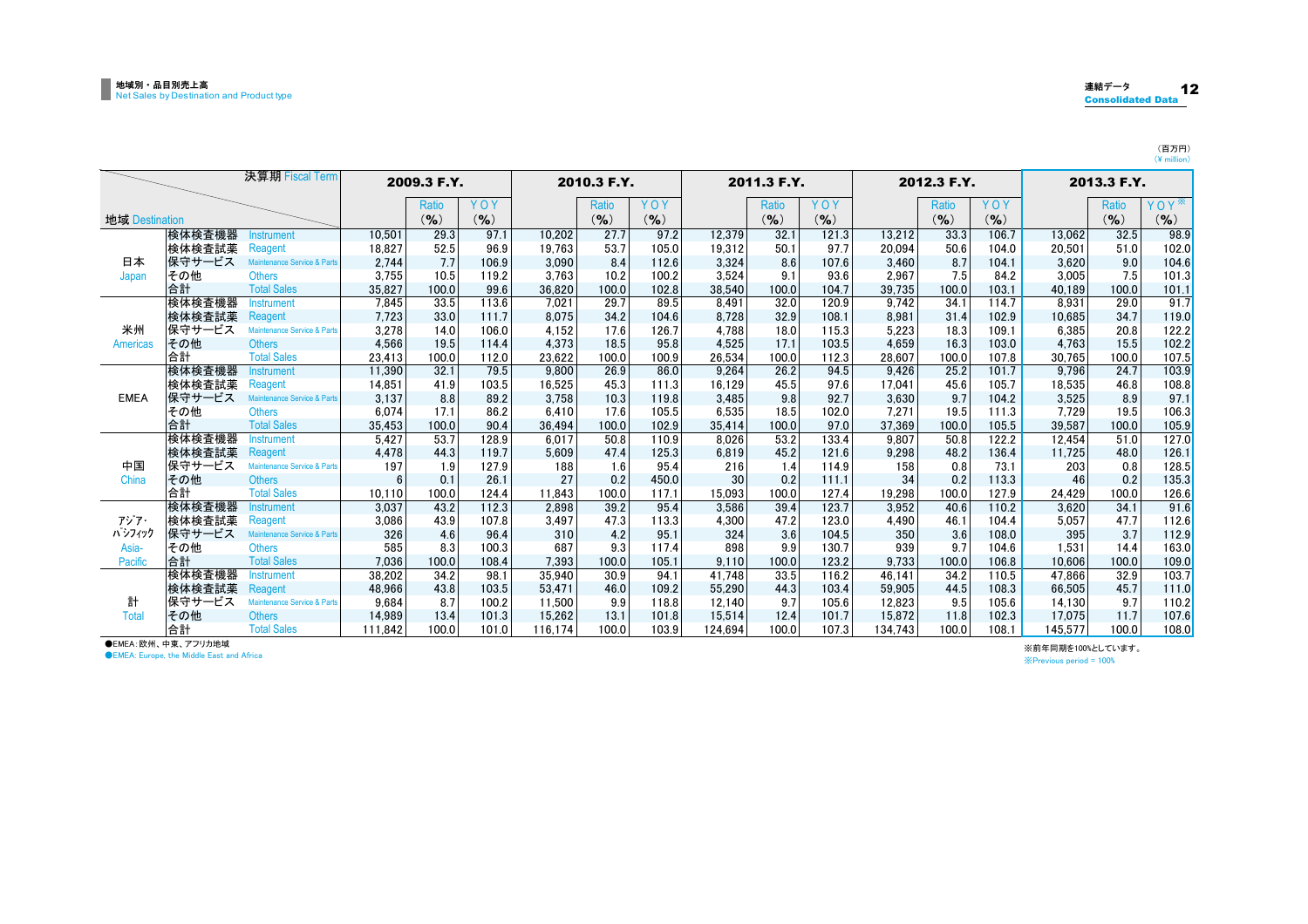|                 |        | 決算期 Fiscal Term             |         | 2009.3 F.Y. |           |         | 2010.3 F.Y. |           | 2011.3 F.Y. |           |           | 2012.3 F.Y. |              | 2013.3 F.Y. |         |           |             |
|-----------------|--------|-----------------------------|---------|-------------|-----------|---------|-------------|-----------|-------------|-----------|-----------|-------------|--------------|-------------|---------|-----------|-------------|
|                 |        |                             |         | Ratio       | YOY       |         | Ratio       | YOY       |             | Ratio     | YOY       |             | <b>Ratio</b> | YOY         |         | Ratio     | $Y$ O Y $*$ |
| 地域 Destination  |        |                             |         | $($ % $)$   | $($ % $)$ |         | $($ % $)$   | $(9)_{0}$ |             | $(9)_{0}$ | $(9)_{0}$ |             | $(9)_{0}$    | $(9)_{0}$   |         | $($ % $)$ | (%)         |
|                 | 検体検査機器 | <b>Instrument</b>           | 10.501  | 29.3        | 97.1      | 10.202  | 27.7        | 97.2      | 12.379      | 32.1      | 121.3     | 13.212      | 33.3         | 106.7       | 13.062  | 32.5      | 98.9        |
|                 | 検体検査試薬 | Reagent                     | 18.827  | 52.5        | 96.9      | 19.763  | 53.7        | 105.0     | 19.312      | 50.1      | 97.7      | 20.094      | 50.6         | 104.0       | 20,501  | 51.0      | 102.0       |
| 日本              | 保守サービス | Maintenance Service & Parts | 2,744   | 7.7         | 106.9     | 3,090   | 8.4         | 112.6     | 3,324       | 8.6       | 107.6     | 3.460       | 8.7          | 104.1       | 3,620   | 9.0       | 104.6       |
| Japan           | その他    | <b>Others</b>               | 3.755   | 10.5        | 119.2     | 3.763   | 10.2        | 100.2     | 3.524       | 9.1       | 93.6      | 2.967       | 7.5          | 84.2        | 3.005   | 7.5       | 101.3       |
|                 | 合計     | <b>Total Sales</b>          | 35,827  | 100.0       | 99.6      | 36.820  | 100.0       | 102.8     | 38.540      | 100.0     | 104.7     | 39.735      | 100.0        | 103.1       | 40.189  | 100.0     | 101.1       |
|                 | 検体検査機器 | <b>Instrument</b>           | 7.845   | 33.5        | 113.6     | 7.021   | 29.7        | 89.5      | 8.491       | 32.0      | 120.9     | 9.742       | 34.1         | 114.7       | 8,931   | 29.0      | 91.7        |
|                 | 検体検査試薬 | Reagent                     | 7,723   | 33.0        | 111.7     | 8.075   | 34.2        | 104.6     | 8,728       | 32.9      | 108.1     | 8,981       | 31.4         | 102.9       | 10,685  | 34.7      | 119.0       |
| 米州              | 保守サービス | Maintenance Service & Parts | 3.278   | 14.0        | 106.0     | 4.152   | 17.6        | 126.7     | 4.788       | 18.0      | 115.3     | 5.223       | 18.3         | 109.1       | 6,385   | 20.8      | 122.2       |
| <b>Americas</b> | その他    | <b>Others</b>               | 4.566   | 19.5        | 114.4     | 4.373   | 18.5        | 95.8      | 4.525       | 17.1      | 103.5     | 4.659       | 16.3         | 103.0       | 4.763   | 15.5      | 102.2       |
|                 | 合計     | <b>Total Sales</b>          | 23,413  | 100.0       | 112.0     | 23,622  | 100.0       | 100.9     | 26,534      | 100.0     | 112.3     | 28.607      | 100.0        | 107.8       | 30,765  | 100.0     | 107.5       |
|                 | 検体検査機器 | <b>Instrument</b>           | 11,390  | 32.1        | 79.5      | 9.800   | 26.9        | 86.0      | 9,264       | 26.2      | 94.5      | 9.426       | 25.2         | 101.7       | 9,796   | 24.7      | 103.9       |
|                 | 検体検査試薬 | Reagent                     | 14.851  | 41.9        | 103.5     | 16.525  | 45.3        | 111.3     | 16.129      | 45.5      | 97.6      | 17.041      | 45.6         | 105.7       | 18,535  | 46.8      | 108.8       |
| <b>EMEA</b>     | 保守サービス | Maintenance Service & Parts | 3,137   | 8.8         | 89.2      | 3,758   | 10.3        | 119.8     | 3,485       | 9.8       | 92.7      | 3,630       | 9.7          | 104.2       | 3,525   | 8.9       | 97.1        |
|                 | その他    | <b>Others</b>               | 6.074   | 17.1        | 86.2      | 6.410   | 17.6        | 105.5     | 6,535       | 18.5      | 102.0     | 7.271       | 19.5         | 111.3       | 7.729   | 19.5      | 106.3       |
|                 | 合計     | <b>Total Sales</b>          | 35,453  | 100.0       | 90.4      | 36,494  | 100.0       | 102.9     | 35,414      | 100.0     | 97.0      | 37.369      | 100.0        | 105.5       | 39.587  | 100.0     | 105.9       |
|                 | 検体検査機器 | <b>Instrument</b>           | 5,427   | 53.7        | 128.9     | 6.017   | 50.8        | 110.9     | 8.026       | 53.2      | 133.4     | 9.807       | 50.8         | 122.2       | 12,454  | 51.0      | 127.0       |
|                 | 検体検査試薬 | Reagent                     | 4.478   | 44.3        | 119.7     | 5.609   | 47.4        | 125.3     | 6.819       | 45.2      | 121.6     | 9,298       | 48.2         | 136.4       | 11.725  | 48.0      | 126.1       |
| 中国              | 保守サービス | Maintenance Service & Parts | 197     | 1.9         | 127.9     | 188     | 1.6         | 95.4      | 216         | 1.4       | 114.9     | 158         | 0.8          | 73.1        | 203     | 0.8       | 128.5       |
| China           | その他    | <b>Others</b>               | 6       | 0.1         | 26.1      | 27      | 0.2         | 450.0     | 30          | 0.2       | 111.1     | 34          | 0.2          | 113.3       | 46      | 0.2       | 135.3       |
|                 | 合計     | <b>Total Sales</b>          | 10.110  | 100.0       | 124.4     | 11.843  | 100.0       | 117.1     | 15.093      | 100.0     | 127.4     | 19.298      | 100.0        | 127.9       | 24.429  | 100.0     | 126.6       |
|                 | 検体検査機器 | nstrument                   | 3,037   | 43.2        | 112.3     | 2,898   | 39.2        | 95.4      | 3,586       | 39.4      | 123.7     | 3,952       | 40.6         | 110.2       | 3,620   | 34.1      | 91.6        |
| アジア・            | 検体検査試薬 | Reagent                     | 3,086   | 43.9        | 107.8     | 3,497   | 47.3        | 113.3     | 4,300       | 47.2      | 123.0     | 4.490       | 46.1         | 104.4       | 5.057   | 47.7      | 112.6       |
| ハッフィック          | 保守サービス | Maintenance Service & Parts | 326     | 4.6         | 96.4      | 310     | 4.2         | 95.1      | 324         | 3.6       | 104.5     | 350         | 3.6          | 108.0       | 395     | 3.7       | 112.9       |
| Asia-           | その他    | <b>Others</b>               | 585     | 8.3         | 100.3     | 687     | 9.3         | 117.4     | 898         | 9.9       | 130.7     | 939         | 9.7          | 104.6       | 1.531   | 14.4      | 163.0       |
| Pacific         | 合計     | <b>Total Sales</b>          | 7.036   | 100.0       | 108.4     | 7.393   | 100.0       | 105.1     | 9.110       | 100.0     | 123.2     | 9.733       | 100.0        | 106.8       | 10.606  | 100.0     | 109.0       |
|                 | 検体検査機器 | Instrument                  | 38,202  | 34.2        | 98.1      | 35,940  | 30.9        | 94.1      | 41,748      | 33.5      | 116.2     | 46.141      | 34.2         | 110.5       | 47,866  | 32.9      | 103.7       |
|                 | 検体検査試薬 | Reagent                     | 48,966  | 43.8        | 103.5     | 53,471  | 46.0        | 109.2     | 55,290      | 44.3      | 103.4     | 59,905      | 44.5         | 108.3       | 66.505  | 45.7      | 111.0       |
| 計               | 保守サービス | Maintenance Service & Parts | 9.684   | 8.7         | 100.2     | 11,500  | 9.9         | 118.8     | 12.140      | 9.7       | 105.6     | 12.823      | 9.5          | 105.6       | 14.130  | 9.7       | 110.2       |
| Total           | その他    | <b>Others</b>               | 14.989  | 13.4        | 101.3     | 15,262  | 13.1        | 101.8     | 15,514      | 12.4      | 101.7     | 15.872      | 11.8         | 102.3       | 17,075  | 11.7      | 107.6       |
|                 | 合計     | <b>Total Sales</b>          | 111.842 | 100.0       | 101.0     | 116.174 | 100.0       | 103.9     | 124.694     | 100.0     | 107.3     | 134.743     | 100.0        | 108.1       | 145,577 | 0.001     | 108.0       |

●EMEA:欧州、中東、アフリカ地域

**OEMEA: Europe, the Middle East and Africa** 

※前年同期を100%としています。

※Previous period = 100%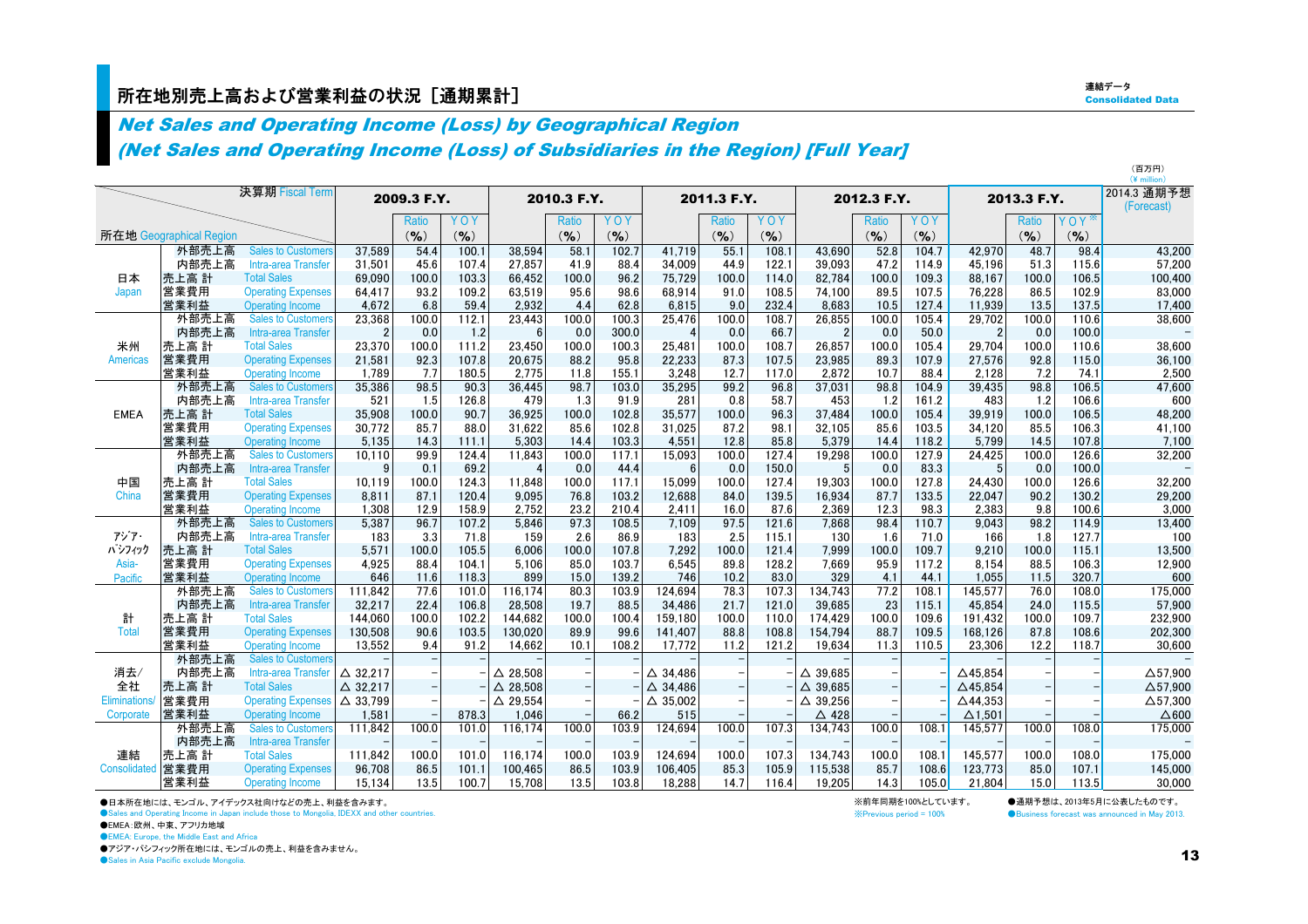### 所在地別売上高および営業利益の状況[通期累計] しかし しょうしょう しょうしょう しょうしょう こくしゅうしょう こくしょうしょう

連結データ**Consolidated Data** 

(百万円)

### Net Sales and Operating Income (Loss) by Geographical Region

(Net Sales and Operating Income (Loss) of Subsidiaries in the Region) [Full Year]

|                     |                         |                           |                    |             |           |                    |              |           |                    |             |       |                    |              |       | (¥ million)        |             |           |                           |
|---------------------|-------------------------|---------------------------|--------------------|-------------|-----------|--------------------|--------------|-----------|--------------------|-------------|-------|--------------------|--------------|-------|--------------------|-------------|-----------|---------------------------|
|                     |                         | 決算期 Fiscal Term           |                    | 2009.3 F.Y. |           |                    | 2010.3 F.Y.  |           |                    | 2011.3 F.Y. |       |                    | 2012.3 F.Y.  |       |                    | 2013.3 F.Y. |           | 2014.3 通期予想<br>(Forecast) |
|                     |                         |                           |                    | Ratio       | YOY       |                    | <b>Ratio</b> | YOY       |                    | Ratio       | YOY   |                    | <b>Ratio</b> | YOY   |                    | Ratio       | YOY       |                           |
|                     | 所在地 Geographical Region |                           |                    | (9/6)       | $($ % $)$ |                    | (9/6)        | $(9)_{0}$ |                    | (9/6)       | (9/6) |                    | $(9)_{0}$    | (9/6) |                    | (9/6)       | $($ % $)$ |                           |
|                     | 外部売上高                   | <b>Sales to Customers</b> | 37.589             | 54.4        | 100.1     | 38,594             | 58.1         | 102.7     | 41.719             | 55.1        | 108.1 | 43.690             | 52.8         | 104.7 | 42.970             | 48.7        | 98.4      | 43,200                    |
|                     | 内部売上高                   | Intra-area Transfer       | 31.501             | 45.6        | 107.4     | 27.857             | 41.9         | 88.4      | 34.009             | 44.9        | 122.1 | 39.093             | 47.2         | 114.9 | 45.196             | 51.3        | 115.6     | 57,200                    |
| 日本                  | 売上高 計                   | <b>Total Sales</b>        | 69.090             | 100.0       | 103.3     | 66,452             | 100.0        | 96.2      | 75.729             | 100.0       | 114.0 | 82,784             | 100.0        | 109.3 | 88.167             | 100.0       | 106.5     | 100,400                   |
| Japan               | 営業費用                    | <b>Operating Expenses</b> | 64,417             | 93.2        | 109.2     | 63,519             | 95.6         | 98.6      | 68,914             | 91.0        | 108.5 | 74,100             | 89.5         | 107.5 | 76,228             | 86.5        | 102.9     | 83,000                    |
|                     | 営業利益                    | <b>Operating Income</b>   | 4,672              | 6.8         | 59.4      | 2,932              | 4.4          | 62.8      | 6,815              | 9.0         | 232.4 | 8,683              | 10.5         | 127.4 | 11,939             | 13.5        | 137.5     | 17,400                    |
|                     | 外部売上高                   | <b>Sales to Customers</b> | 23,368             | 100.0       | 112.1     | 23,443             | 100.0        | 100.3     | 25.476             | 100.0       | 108.7 | 26,855             | 100.0        | 105.4 | 29.702             | 100.0       | 110.6     | 38,600                    |
|                     | 内部売上高                   | Intra-area Transfer       | $\overline{2}$     | 0.0         | 1.2       | 6                  | 0.0          | 300.0     | $\overline{4}$     | 0.0         | 66.7  | $\overline{2}$     | 0.0          | 50.0  | $\overline{2}$     | 0.0         | 100.0     |                           |
| 米州                  | 売上高 計                   | <b>Total Sales</b>        | 23,370             | 100.0       | 111.2     | 23.450             | 100.0        | 100.3     | 25.481             | 100.0       | 108.7 | 26,857             | 100.0        | 105.4 | 29.704             | 100.0       | 110.6     | 38,600                    |
| <b>Americas</b>     | 営業費用                    | <b>Operating Expenses</b> | 21,581             | 92.3        | 107.8     | 20,675             | 88.2         | 95.8      | 22.233             | 87.3        | 107.5 | 23,985             | 89.3         | 107.9 | 27,576             | 92.8        | 115.0     | 36,100                    |
|                     | 営業利益                    | <b>Operating Income</b>   | 1,789              | 7.7         | 180.5     | 2,775              | 11.8         | 155.1     | 3,248              | 12.7        | 117.0 | 2,872              | 10.7         | 88.4  | 2.128              | 7.2         | 74.1      | 2,500                     |
|                     | 外部売上高                   | <b>Sales to Customers</b> | 35,386             | 98.5        | 90.3      | 36,445             | 98.7         | 103.0     | 35,295             | 99.2        | 96.8  | 37,031             | 98.8         | 104.9 | 39,435             | 98.8        | 106.5     | 47,600                    |
|                     | 内部売上高                   | Intra-area Transfer       | 521                | 1.5         | 126.8     | 479                | 1.3          | 91.9      | 281                | 0.8         | 58.7  | 453                | 1.2          | 161.2 | 483                | 1.2         | 106.6     | 600                       |
| <b>EMEA</b>         | 売上高 計                   | <b>Total Sales</b>        | 35,908             | 100.0       | 90.7      | 36,925             | 100.0        | 102.8     | 35,577             | 100.0       | 96.3  | 37.484             | 100.0        | 105.4 | 39.919             | 100.0       | 106.5     | 48,200                    |
|                     | 営業費用                    | <b>Operating Expenses</b> | 30,772             | 85.7        | 88.0      | 31,622             | 85.6         | 102.8     | 31.025             | 87.2        | 98.1  | 32,105             | 85.6         | 103.5 | 34.120             | 85.5        | 106.3     | 41,100                    |
|                     | 営業利益                    | <b>Operating Income</b>   | 5,135              | 14.3        | 111.1     | 5,303              | 14.4         | 103.3     | 4.551              | 12.8        | 85.8  | 5.379              | 14.4         | 118.2 | 5.799              | 14.5        | 107.8     | 7,100                     |
|                     | 外部売上高                   | <b>Sales to Customers</b> | 10,110             | 99.9        | 124.4     | 11,843             | 100.0        | 117.1     | 15,093             | 100.0       | 127.4 | 19,298             | 100.0        | 127.9 | 24,425             | 100.0       | 126.6     | 32,200                    |
|                     | 内部売上高                   | Intra-area Transfer       | g                  | 0.1         | 69.2      | 4                  | 0.0          | 44.4      | 6                  | 0.0         | 150.0 | 5                  | 0.0          | 83.3  | 5                  | 0.0         | 100.0     |                           |
| 中国                  | 売上高 計                   | <b>Total Sales</b>        | 10.119             | 100.0       | 124.3     | 11.848             | 100.0        | 117.1     | 15.099             | 100.0       | 127.4 | 19.303             | 100.0        | 127.8 | 24,430             | 100.0       | 126.6     | 32,200                    |
| China               | 営業費用                    | <b>Operating Expenses</b> | 8,811              | 87.1        | 120.4     | 9,095              | 76.8         | 103.2     | 12,688             | 84.0        | 139.5 | 16,934             | 87.7         | 133.5 | 22,047             | 90.2        | 130.2     | 29,200                    |
|                     | 営業利益                    | <b>Operating Income</b>   | 1,308              | 12.9        | 158.9     | 2,752              | 23.2         | 210.4     | 2.411              | 16.0        | 87.6  | 2,369              | 12.3         | 98.3  | 2.383              | 9.8         | 100.6     | 3,000                     |
|                     | 外部売上高                   | <b>Sales to Customers</b> | 5,387              | 96.7        | 107.2     | 5,846              | 97.3         | 108.5     | 7,109              | 97.5        | 121.6 | 7,868              | 98.4         | 110.7 | 9,043              | 98.2        | 114.9     | 13,400                    |
| アジア・                | 内部売上高                   | Intra-area Transfer       | 183                | 3.3         | 71.8      | 159                | 2.6          | 86.9      | 183                | 2.5         | 115.1 | 130                | 1.6          | 71.0  | 166                | 1.8         | 127.7     | 100                       |
| パシフィック              | 売上高 計                   | <b>Total Sales</b>        | 5,571              | 100.0       | 105.5     | 6.006              | 100.0        | 107.8     | 7.292              | 100.0       | 121.4 | 7.999              | 100.0        | 109.7 | 9.210              | 100.0       | 115.1     | 13,500                    |
| Asia-               | 営業費用                    | <b>Operating Expenses</b> | 4,925              | 88.4        | 104.1     | 5.106              | 85.0         | 103.7     | 6.545              | 89.8        | 128.2 | 7.669              | 95.9         | 117.2 | 8.154              | 88.5        | 106.3     | 12,900                    |
| Pacific             | 営業利益                    | <b>Operating Income</b>   | 646                | 11.6        | 118.3     | 899                | 15.0         | 139.2     | 746                | 10.2        | 83.0  | 329                | 4.1          | 44.1  | 1.055              | 11.5        | 320.7     | 600                       |
|                     | 外部売上高                   | <b>Sales to Customers</b> | 111,842            | 77.6        | 101.0     | 116,174            | 80.3         | 103.9     | 124.694            | 78.3        | 107.3 | 134.743            | 77.2         | 108.1 | 145,577            | 76.0        | 108.0     | 175,000                   |
|                     | 内部売上高                   | Intra-area Transfer       | 32,217             | 22.4        | 106.8     | 28,508             | 19.7         | 88.5      | 34,486             | 21.7        | 121.0 | 39,685             | 23           | 115.1 | 45,854             | 24.0        | 115.5     | 57,900                    |
| 計                   | 売上高 計                   | <b>Total Sales</b>        | 144.060            | 100.0       | 102.2     | 144,682            | 100.0        | 100.4     | 159.180            | 100.0       | 110.0 | 174.429            | 100.0        | 109.6 | 191.432            | 100.0       | 109.7     | 232,900                   |
| Total               | 営業費用                    | <b>Operating Expenses</b> | 130.508            | 90.6        | 103.5     | 130,020            | 89.9         | 99.6      | 141.407            | 88.8        | 108.8 | 154.794            | 88.7         | 109.5 | 168.126            | 87.8        | 108.6     | 202,300                   |
|                     | 営業利益                    | <b>Operating Income</b>   | 13.552             | 9.4         | 91.2      | 14,662             | 10.1         | 108.2     | 17.772             | 11.2        | 121.2 | 19,634             | 11.3         | 110.5 | 23,306             | 12.2        | 118.7     | 30,600                    |
|                     | 外部売上高                   | <b>Sales to Customers</b> |                    |             |           |                    |              |           |                    |             |       |                    |              |       |                    |             |           |                           |
| 消去/                 | 内部売上高                   | Intra-area Transfer       | $\triangle$ 32,217 |             |           | $\triangle$ 28,508 |              |           | $\triangle$ 34.486 |             |       | 39,685<br>Δ        |              |       | $\Delta$ 45,854    |             |           | $\Delta$ 57,900           |
| 全社                  | 売上高 計                   | <b>Total Sales</b>        | $\triangle$ 32.217 |             |           | $\triangle$ 28.508 |              |           | $\triangle$ 34.486 |             |       | $\triangle$ 39.685 |              |       | $\triangle$ 45.854 |             |           | $\Delta$ 57.900           |
| <b>Eliminations</b> | 営業費用                    | <b>Operating Expenses</b> | $\triangle$ 33.799 |             |           | $\triangle$ 29,554 |              |           | $\triangle$ 35,002 |             |       | $\triangle$ 39,256 |              |       | $\triangle$ 44,353 |             |           | $\Delta$ 57,300           |
| Corporate           | 営業利益                    | <b>Operating Income</b>   | 1,581              |             | 878.3     | 1,046              |              | 66.2      | 515                |             |       | △ 428              |              |       | $\Delta$ 1.501     |             |           | $\triangle$ 600           |
|                     | 外部売上高                   | <b>Sales to Customers</b> | 111,842            | 100.0       | 101.0     | 116,174            | 100.0        | 103.9     | 124,694            | 100.0       | 107.3 | 134,743            | 100.0        | 108.1 | 145,577            | 100.0       | 108.0     | 175,000                   |
|                     | 内部売上高                   | Intra-area Transfer       |                    |             |           |                    |              |           |                    |             |       |                    |              |       |                    |             |           |                           |
| 連結                  | 売上高 計                   | <b>Total Sales</b>        | 111.842            | 100.0       | 101.0     | 116,174            | 100.0        | 103.9     | 124.694            | 100.0       | 107.3 | 134.743            | 100.0        | 108.1 | 145.577            | 100.0       | 108.0     | 175,000                   |
| Consolidated        | 営業費用                    | <b>Operating Expenses</b> | 96.708             | 86.5        | 101.1     | 100,465            | 86.5         | 103.9     | 106.405            | 85.3        | 105.9 | 115,538            | 85.7         | 108.6 | 123.773            | 85.0        | 107.1     | 145.000                   |
|                     | 営業利益                    | Operating Income          | 15.134             | 13.5        | 100.7     | 15,708             | 13.5         | 103.8     | 18.288             | 14.7        | 116.4 | 19.205             | 14.3         | 105.0 | 21.804             | 15.0        | 113.5     | 30.000                    |

●日本所在地には、モンゴル、アイデックス社向けなどの売上、利益を含みます。

●Sales and Operating Income in Japan include those to Mongolia, IDEXX and other countries.

●EMEA:欧州、中東、アフリカ地域

**OEMEA: Europe, the Middle East and Africa** 

●アジア・パシフィック所在地には、モンゴルの売上、利益を含みません。

● Sales in Asia Pacific exclude Mongolia.

※前年同期を100%としています。 ●通期予想は、2013年5月に公表したものです。<br>※Previous period = 100% ● ●Business forecast was announced in May 2013 **O**Business forecast was announced in May 2013.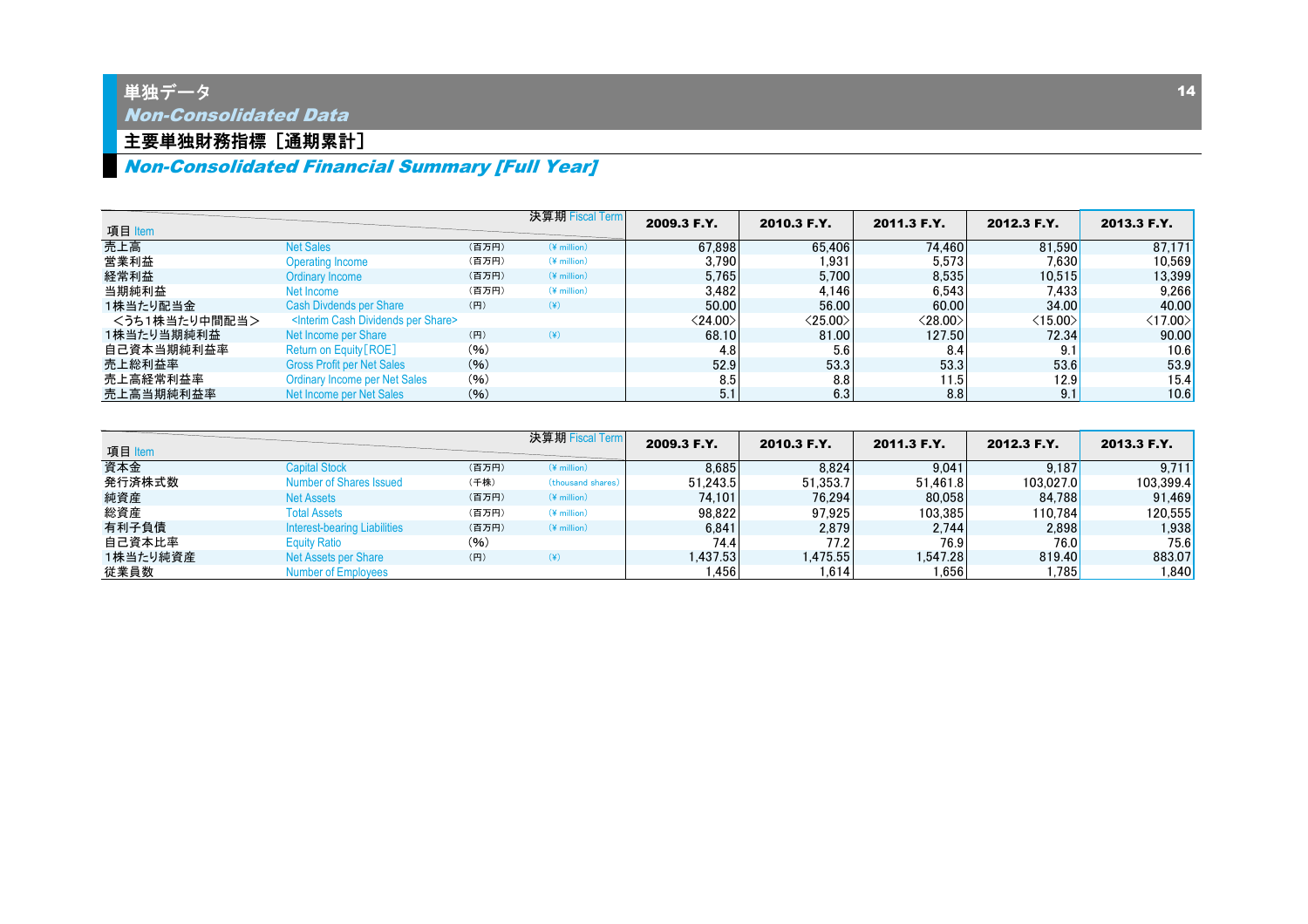### 主要単独財務指標 [通期累計]

### Non-Consolidated Financial Summary [Full Year]

| 項目 Item       |                                                          |       | 決算期 Fiscal Term       | 2009.3 F.Y.             | 2010.3 F.Y.             | 2011.3 F.Y.             | 2012.3 F.Y.             | 2013.3 F.Y.             |
|---------------|----------------------------------------------------------|-------|-----------------------|-------------------------|-------------------------|-------------------------|-------------------------|-------------------------|
| 売上高           | <b>Net Sales</b>                                         | (百万円) | $(*$ million)         | 67.898                  | 65,406                  | 74.460                  | 81.590                  | 87.171                  |
| 営業利益          | <b>Operating Income</b>                                  | (百万円) | $(*$ million)         | 3.790                   | 1.931                   | 5.573                   | 7.630                   | 10,569                  |
| 経常利益          | Ordinary Income                                          | (百万円) | $(*$ million)         | 5.765                   | 5.700                   | 8.535                   | 10.515                  | 13,399                  |
| 当期純利益         | Net Income                                               | (百万円) | $(Y \text{ million})$ | 3.482                   | 4.146                   | 6.543                   | 7.433                   | 9,266                   |
| 1株当たり配当金      | Cash Divdends per Share                                  | (円)   | $(\c{4})$             | 50.00                   | 56.00                   | 60.00                   | 34.00                   | 40.00                   |
| <うち1株当たり中間配当> | <interim cash="" dividends="" per="" share=""></interim> |       |                       | $\langle 24.00 \rangle$ | $\langle 25.00 \rangle$ | $\langle 28.00 \rangle$ | $\langle 15.00 \rangle$ | $\langle 17.00 \rangle$ |
| 1株当たり当期純利益    | Net Income per Share                                     | (円)   | $(\yen)$              | 68.10                   | 81.00                   | 127.50                  | 72.34                   | 90.00                   |
| 自己資本当期純利益率    | Return on Equity [ROE]                                   | (96)  |                       | 4.8                     | 5.6                     | 8.4                     | 9.1                     | 10.6                    |
| 売上総利益率        | <b>Gross Profit per Net Sales</b>                        | (9/6) |                       | 52.9                    | 53.3                    | 53.3                    | 53.6                    | 53.9                    |
| 売上高経常利益率      | <b>Ordinary Income per Net Sales</b>                     | (96)  |                       | 8.5                     | 8.8                     | 11.5                    | 12.9                    | 15.4                    |
| 売上高当期純利益率     | Net Income per Net Sales                                 | (96)  |                       | 5.1                     | 6.3                     | 8.8                     | 9.11                    | 10.6                    |

| 項目 Item  |                                     |       | 決算期 Fiscal Term    | 2009.3 F.Y. | 2010.3 F.Y. | 2011.3 F.Y.    | 2012.3 F.Y. | 2013.3 F.Y. |
|----------|-------------------------------------|-------|--------------------|-------------|-------------|----------------|-------------|-------------|
| 資本金      | <b>Capital Stock</b>                | (百万円) | $(Y$ million)      | 8.685       | 8.824       | 9.041          | 9.187       | 9,711       |
| 発行済株式数   | Number of Shares Issued             | (千株)  | (thousand shares)  | 51.243.5    | 51.353.7    | 51.461.8       | 103.027.0   | 103,399.4   |
| 純資産      | <b>Net Assets</b>                   | (百万円) | $(*$ million)      | 74.101      | 76.294      | 80.058         | 84.788      | 91.469      |
| 総資産      | <b>Total Assets</b>                 | (百万円) | $(*$ million)      | 98.822      | 97,925      | 103.385        | 110.784     | 120,555     |
| 有利子負債    | <b>Interest-bearing Liabilities</b> | (百万円) | $(*$ million)      | 6.841       | 2,879       | 2.744          | 2.898       | 1,938       |
| 自己資本比率   | <b>Equity Ratio</b>                 | (96)  |                    | 74.4        | 77.2        | 76.9           | 76.0        | 75.6        |
| 1株当たり純資産 | Net Assets per Share                | (円)   | $(\divideontimes)$ | 1.437.53    | 1.475.55    | .547.28        | 819.40      | 883.07      |
| 従業員数     | <b>Number of Employees</b>          |       |                    | .456        | 1.614       | $.656^{\circ}$ | .785        | ,840        |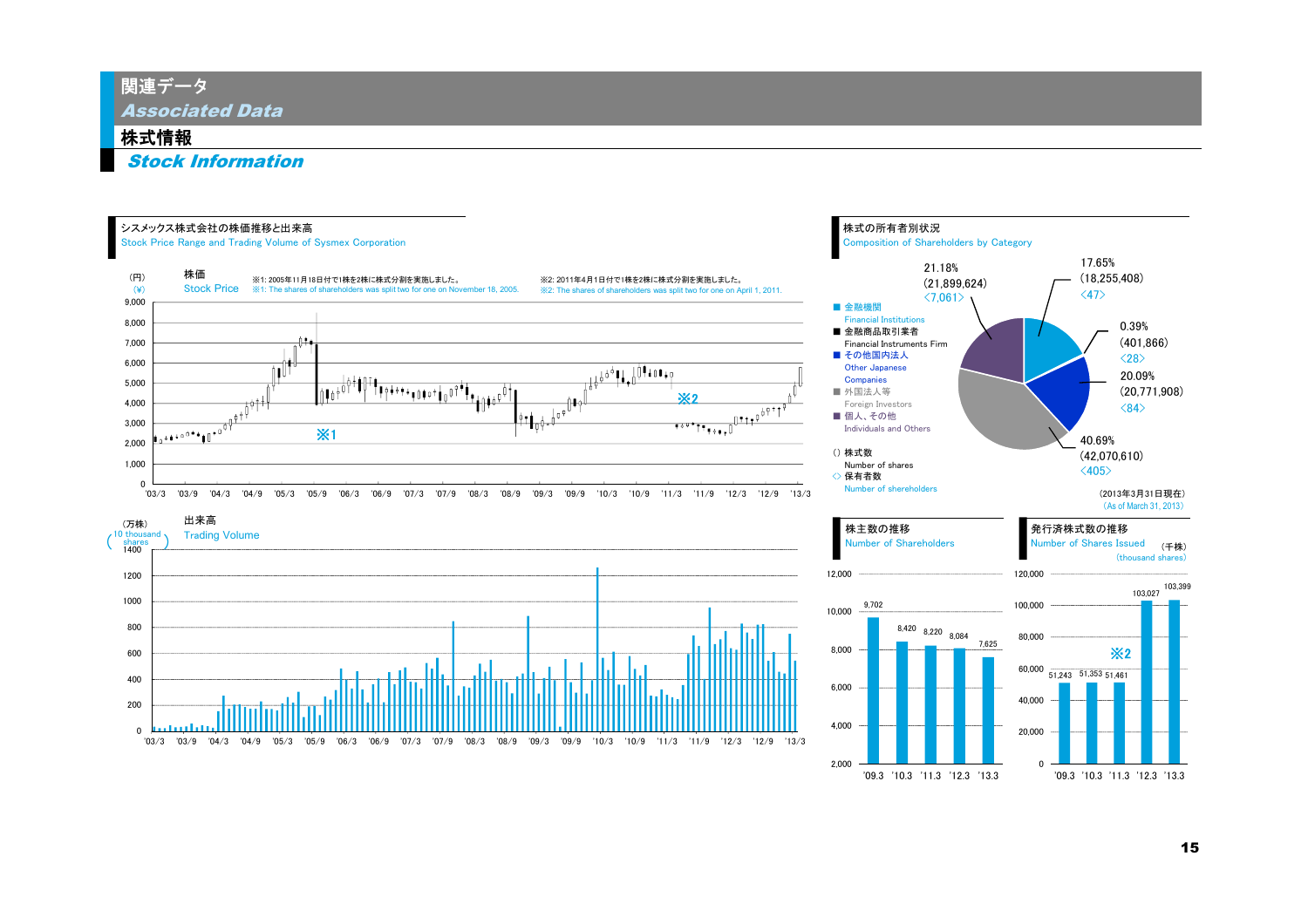関連データ

Associated Data

#### 株式情報

Stock Information

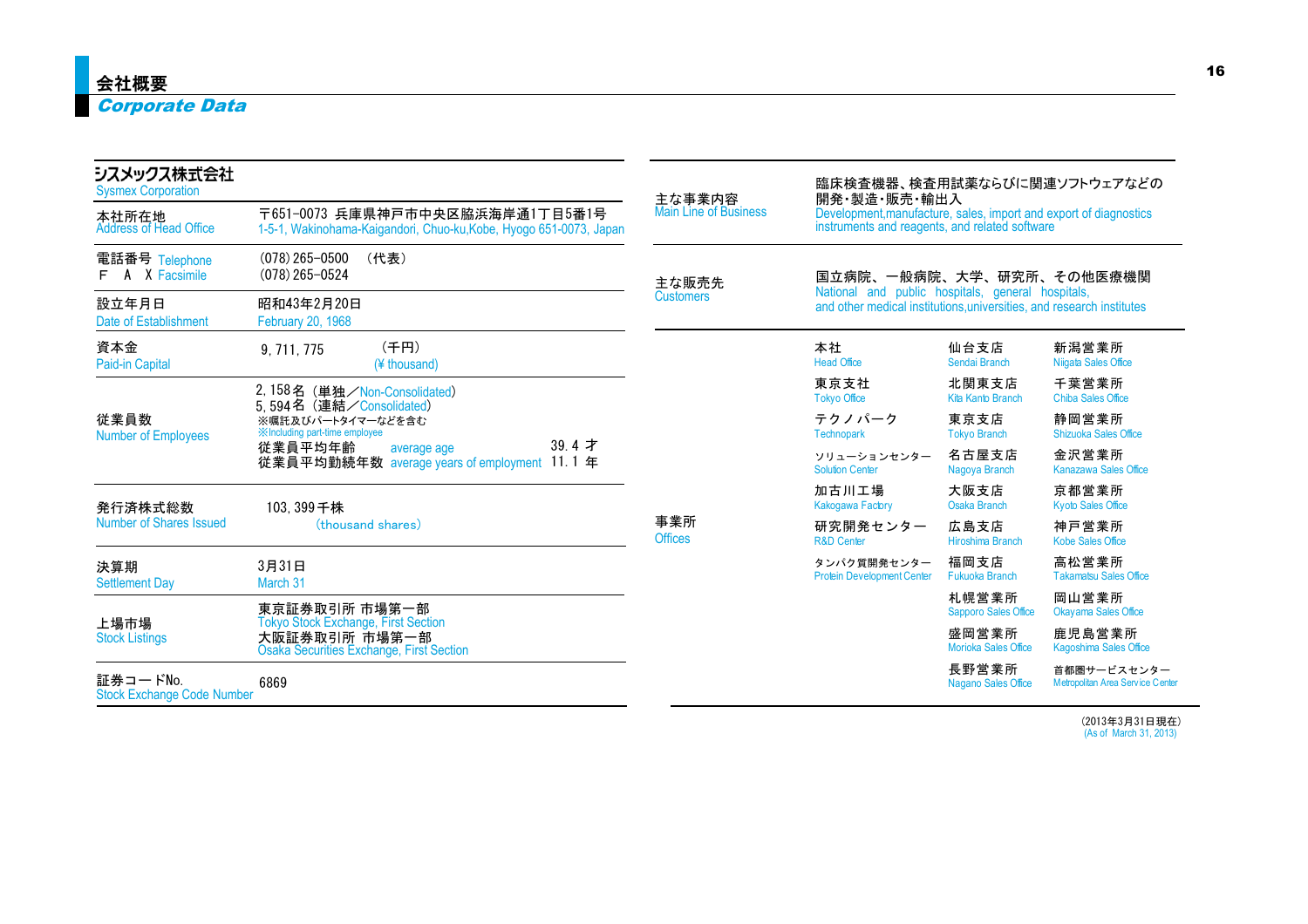### Corporate Data

| シスメックス株式会社<br><b>Sysmex Corporation</b>       |                                                                                                                | 主な事業内容                       |                                                                                                                                                                                                                                                                                                                                                                                                                                                                                                                                                                                                                                                                                                                                                                                                                                                                             |                                                 |
|-----------------------------------------------|----------------------------------------------------------------------------------------------------------------|------------------------------|-----------------------------------------------------------------------------------------------------------------------------------------------------------------------------------------------------------------------------------------------------------------------------------------------------------------------------------------------------------------------------------------------------------------------------------------------------------------------------------------------------------------------------------------------------------------------------------------------------------------------------------------------------------------------------------------------------------------------------------------------------------------------------------------------------------------------------------------------------------------------------|-------------------------------------------------|
| 本社所在地<br><b>Address of Head Office</b>        | 〒651-0073 兵庫県神戸市中央区脇浜海岸通1丁目5番1号<br>1-5-1, Wakinohama-Kaigandori, Chuo-ku, Kobe, Hyogo 651-0073, Japan          | <b>Main Line of Business</b> | 臨床検査機器、検査用試薬ならびに関連ソフトウェアなどの<br>開発・製造・販売・輸出入<br>Development, manufacture, sales, import and export of diagnostics<br>instruments and reagents, and related software<br>国立病院、一般病院、大学、研究所、その他医療機関<br>National and public hospitals, general hospitals,<br>and other medical institutions, universities, and research institutes<br>本社<br>仙台支店<br><b>Head Office</b><br>Sendai Branch<br>北関東支店<br>東京支社<br><b>Tokyo Office</b><br>Kita Kanto Branch<br>テクノパーク<br>東京支店<br>Technopark<br><b>Tokyo Branch</b><br>名古屋支店<br>ソリューションセンター<br><b>Solution Center</b><br>Nagoya Branch<br>加古川工場<br>大阪支店<br><b>Osaka Branch</b><br>Kakogawa Factory<br>研究開発センター<br>広島支店<br>Hiroshima Branch<br><b>R&amp;D Center</b><br>福岡支店<br>タンパク質開発センター<br><b>Fukuoka Branch</b><br><b>Protein Development Center</b><br>札幌営業所<br>盛岡営業所<br><b>Morioka Sales Office</b><br>長野営業所<br>Nagano Sales Office |                                                 |
| 電話番号 Telephone<br>X Facsimile<br>A<br>F       | $(078)$ 265-0500<br>(代表)<br>$(078)$ 265-0524                                                                   | 主な販売先                        |                                                                                                                                                                                                                                                                                                                                                                                                                                                                                                                                                                                                                                                                                                                                                                                                                                                                             |                                                 |
| 設立年月日<br>Date of Establishment                | 昭和43年2月20日<br><b>February 20, 1968</b>                                                                         | <b>Customers</b>             |                                                                                                                                                                                                                                                                                                                                                                                                                                                                                                                                                                                                                                                                                                                                                                                                                                                                             |                                                 |
| 資本金<br>Paid-in Capital                        | (千円)<br>9, 711, 775<br>(¥ thousand)                                                                            |                              |                                                                                                                                                                                                                                                                                                                                                                                                                                                                                                                                                                                                                                                                                                                                                                                                                                                                             | 新潟営業所<br>Niigata Sales Office                   |
|                                               | 2,158名 (単独/Non-Consolidated)<br>5.594名 (連結/Consolidated)                                                       |                              |                                                                                                                                                                                                                                                                                                                                                                                                                                                                                                                                                                                                                                                                                                                                                                                                                                                                             | 千葉営業所<br><b>Chiba Sales Office</b>              |
| 従業員数<br><b>Number of Employees</b>            | ※嘱託及びパートタイマーなどを含む<br><b>XIncluding part-time employee</b>                                                      |                              |                                                                                                                                                                                                                                                                                                                                                                                                                                                                                                                                                                                                                                                                                                                                                                                                                                                                             | 静岡営業所<br><b>Shizuoka Sales Office</b>           |
|                                               | 39.4 才<br>従業員平均年齢<br>average age<br>従業員平均勤続年数 average years of employment 11.1 年                               |                              |                                                                                                                                                                                                                                                                                                                                                                                                                                                                                                                                                                                                                                                                                                                                                                                                                                                                             | 金沢営業所<br>Kanazawa Sales Office                  |
| 発行済株式総数                                       | 103, 399千株                                                                                                     |                              |                                                                                                                                                                                                                                                                                                                                                                                                                                                                                                                                                                                                                                                                                                                                                                                                                                                                             | 京都営業所<br><b>Kyoto Sales Office</b>              |
| Number of Shares Issued                       | (thousand shares)                                                                                              | 事業所<br><b>Offices</b>        |                                                                                                                                                                                                                                                                                                                                                                                                                                                                                                                                                                                                                                                                                                                                                                                                                                                                             | 神戸営業所<br>Kobe Sales Office                      |
| 決算期<br><b>Settlement Day</b>                  | 3月31日<br>March 31                                                                                              |                              |                                                                                                                                                                                                                                                                                                                                                                                                                                                                                                                                                                                                                                                                                                                                                                                                                                                                             | 高松営業所<br><b>Takamatsu Sales Office</b>          |
|                                               | 東京証券取引所 市場第一部                                                                                                  |                              | <b>Sapporo Sales Office</b>                                                                                                                                                                                                                                                                                                                                                                                                                                                                                                                                                                                                                                                                                                                                                                                                                                                 | 岡山営業所<br><b>Okayama Sales Office</b>            |
| 上場市場<br><b>Stock Listings</b>                 | <b>Tokyo Stock Exchange, First Section</b><br>大阪証券取引所 市場第一部<br><b>Osaka Securities Exchange, First Section</b> |                              |                                                                                                                                                                                                                                                                                                                                                                                                                                                                                                                                                                                                                                                                                                                                                                                                                                                                             | 鹿児島営業所<br>Kagoshima Sales Office                |
| 証券コードNo.<br><b>Stock Exchange Code Number</b> | 6869                                                                                                           |                              |                                                                                                                                                                                                                                                                                                                                                                                                                                                                                                                                                                                                                                                                                                                                                                                                                                                                             | 首都圏サービスセンター<br>Metropolitan Area Service Center |

(2013年3月31日現在) (As of March 31, 2013)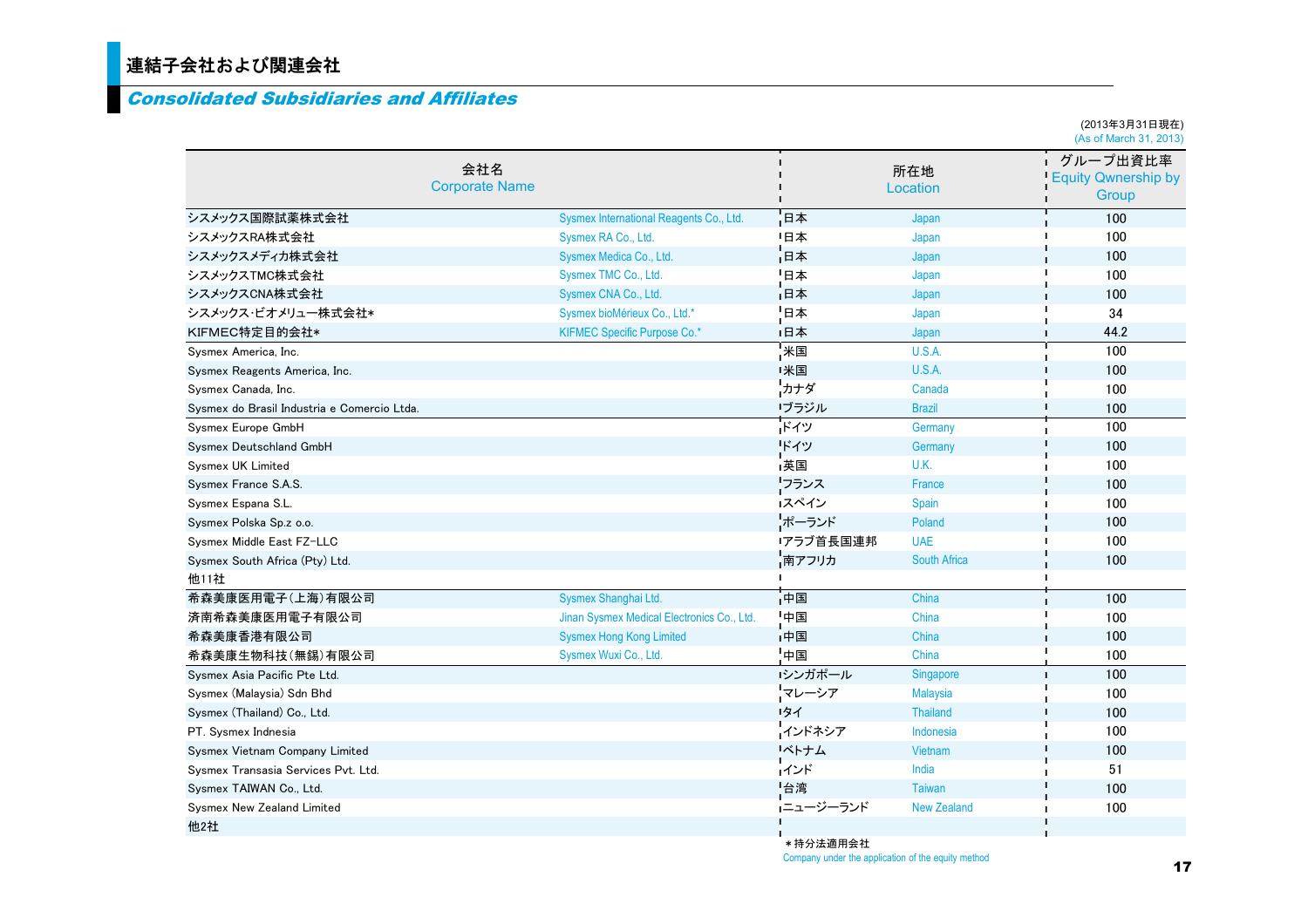### 連結子会社および関連会社

#### Consolidated Subsidiaries and Affiliates

|                                             |                              |                                            |                |                     | (2013年3月31日現在)<br>(As of March 31, 2013)        |
|---------------------------------------------|------------------------------|--------------------------------------------|----------------|---------------------|-------------------------------------------------|
|                                             | 会社名<br><b>Corporate Name</b> |                                            | п<br>п         | 所在地<br>Location     | グループ出資比率<br><b>Equity Qwnership by</b><br>Group |
| シスメックス国際試薬株式会社                              |                              | Sysmex International Reagents Co., Ltd.    | 日本             | Japan               | 100                                             |
| シスメックスRA株式会社                                |                              | Sysmex RA Co., Ltd.                        | 日本             | Japan               | 100                                             |
| シスメックスメディカ株式会社                              |                              | Sysmex Medica Co., Ltd.                    | 旧本             | Japan               | 100                                             |
| シスメックスTMC株式会社                               |                              | Sysmex TMC Co., Ltd.                       | 日本             | Japan               | 100                                             |
| シスメックスCNA株式会社                               |                              | Sysmex CNA Co., Ltd.                       | 1日本            | Japan               | 100                                             |
| シスメックス・ビオメリュー株式会社*                          |                              | Sysmex bioMérieux Co., Ltd.*               | 日本             | Japan               | 34                                              |
| KIFMEC特定目的会社*                               |                              | <b>KIFMEC Specific Purpose Co.*</b>        | "日本            | Japan               | п<br>44.2                                       |
| Sysmex America, Inc.                        |                              |                                            | ∎米国            | U.S.A.              | 100                                             |
| Sysmex Reagents America, Inc.               |                              |                                            | 米国             | U.S.A.              | 100                                             |
| Sysmex Canada, Inc.                         |                              |                                            | リカナダ           | Canada              | 100                                             |
| Sysmex do Brasil Industria e Comercio Ltda. |                              |                                            | ブラジル           | <b>Brazil</b>       | 100                                             |
| Sysmex Europe GmbH                          |                              |                                            | ドイツ            | Germany             | п<br>100                                        |
| Sysmex Deutschland GmbH                     |                              |                                            | ドイツ            | Germany             | 100                                             |
| Sysmex UK Limited                           |                              |                                            | 英国             | U.K.                | 100                                             |
| Sysmex France S.A.S.                        |                              |                                            | リフランス          | France              | 100                                             |
| Sysmex Espana S.L.                          |                              |                                            | スペイン           | Spain               | 100                                             |
| Sysmex Polska Sp.z o.o.                     |                              |                                            | トポーランド         | Poland              | 100                                             |
| Sysmex Middle East FZ-LLC                   |                              |                                            | アラブ首長国連邦       | <b>UAE</b>          | 100                                             |
| Sysmex South Africa (Pty) Ltd.              |                              |                                            | 南アフリカ          | <b>South Africa</b> | 100                                             |
| 他11社                                        |                              |                                            | $\blacksquare$ |                     |                                                 |
| 希森美康医用電子(上海)有限公司                            |                              | Sysmex Shanghai Ltd.                       | -<br>中国        | China               | 100                                             |
| 済南希森美康医用電子有限公司                              |                              | Jinan Sysmex Medical Electronics Co., Ltd. | 「中国            | China               | 100                                             |
| 希森美康香港有限公司                                  |                              | <b>Sysmex Hong Kong Limited</b>            | u.<br>中国       | China               | 100                                             |
| 希森美康生物科技(無錫)有限公司                            |                              | Sysmex Wuxi Co., Ltd.                      | 中国             | China               | 100                                             |
| Sysmex Asia Pacific Pte Ltd.                |                              |                                            | シンガポール         | Singapore           | 100<br>n,                                       |
| Sysmex (Malaysia) Sdn Bhd                   |                              |                                            | マレーシア          | <b>Malaysia</b>     | 100                                             |
| Sysmex (Thailand) Co., Ltd.                 |                              |                                            | リタイ            | <b>Thailand</b>     | 100                                             |
| PT. Sysmex Indnesia                         |                              |                                            | インドネシア         | Indonesia           | 100                                             |
| Sysmex Vietnam Company Limited              |                              |                                            | ベトナム           | Vietnam             | 100                                             |
| Sysmex Transasia Services Pvt. Ltd.         |                              |                                            | インド            | India               | 51                                              |
| Sysmex TAIWAN Co., Ltd.                     |                              |                                            | 台湾             | Taiwan              | 100                                             |
| <b>Sysmex New Zealand Limited</b>           |                              |                                            | ニュージーランド       | <b>New Zealand</b>  | 100                                             |
| 他2社                                         |                              |                                            | n              |                     | п                                               |

\*持分法適用会社Company under the application of the equity method